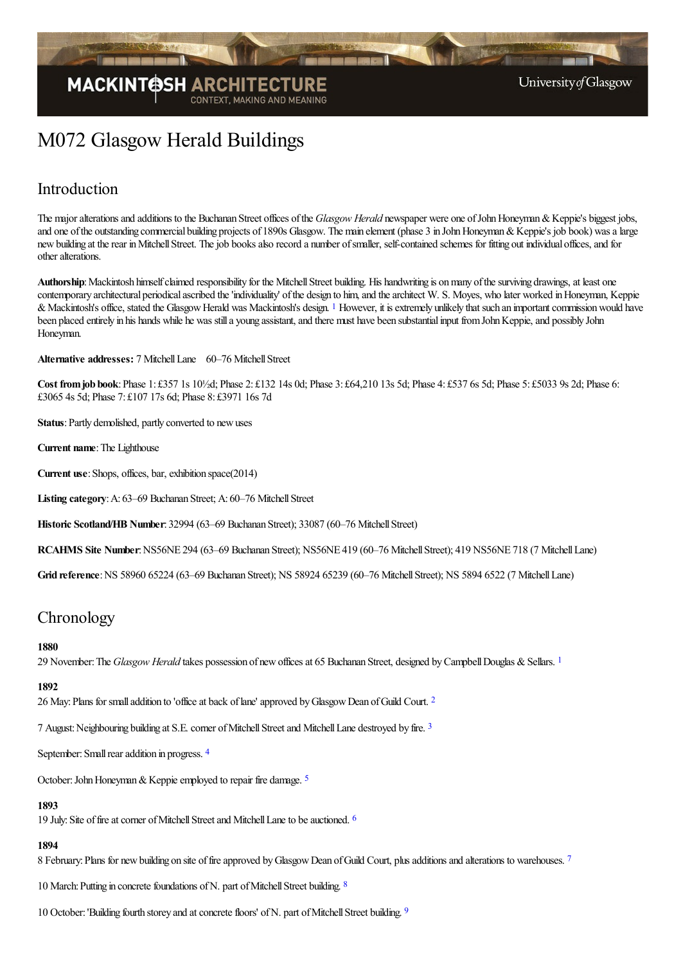

# M072 Glasgow Herald Buildings

## Introduction

The major alterations and additions to the Buchanan Street offices of the *Glasgow Herald* newspaper were one of John Honeyman & Keppie's biggest jobs, and one of the outstanding commercial building projects of 1890s Glasgow. The main element (phase 3 in John Honeyman & Keppie's job book) was a large new building at the rear in Mitchell Street. The job books also record a number of smaller, self-contained schemes for fitting out individual offices, and for other alterations.

<span id="page-0-0"></span>Authorship: Mackintosh himself claimed responsibility for the Mitchell Street building. His handwriting is on many of the surviving drawings, at least one contemporary architectural periodical ascribed the 'individuality' of the design to him, and the architect W. S. Moyes, who later worked in Honeyman, Keppie & Mackintosh's office, stated the Glasgow Herald was Mackintosh's design. <sup>[1](#page-22-0)</sup> However, it is extremely unlikely that such an important commission would have been placed entirely in his hands while he was still a young assistant, and there must have been substantial input from John Keppie, and possibly John Honeyman.

**Alternative addresses:** 7 Mitchell Lane 60–76 Mitchell Street

**Cost fromjob book**:Phase 1: £357 1s 10½d; Phase 2: £132 14s 0d; Phase 3: £64,210 13s 5d; Phase 4: £537 6s 5d; Phase 5: £5033 9s 2d; Phase 6: £3065 4s 5d; Phase 7: £107 17s 6d; Phase 8: £3971 16s 7d

**Status**: Partly demolished, partly converted to new uses

**Current name:** The Lighthouse

**Current use:** Shops, offices, bar, exhibition space(2014)

**Listing category:** A: 63–69 Buchanan Street; A: 60–76 Mitchell Street

**Historic Scotland/HB Number**: 32994 (63–69 Buchanan Street); 33087 (60–76 MitchellStreet)

**RCAHMS Site Number: NS56NE 294 (63–69 Buchanan Street); NS56NE 419 (60–76 Mitchell Street); 419 NS56NE 718 (7 Mitchell Lane)** 

**Grid reference**:NS 58960 65224 (63–69 Buchanan Street); NS 58924 65239 (60–76 MitchellStreet); NS 5894 6522 (7 MitchellLane)

## **Chronology**

#### <span id="page-0-1"></span>**1880**

29 November: The *Glasgow Herald* takes possession of new offices at 65 Buchanan Street, designed by Campbell Douglas & Sellars. <sup>[1](#page-22-1)</sup>

### **1892**

<span id="page-0-2"></span>[2](#page-22-2)6 May: Plans for small addition to 'office at back of lane' approved by Glasgow Dean of Guild Court. <sup>2</sup>

<span id="page-0-3"></span>7 August:Neighbouring building at S.E.corner ofMitchellStreetand MitchellLane destroyed by fire. [3](#page-22-3)

<span id="page-0-4"></span>September: Small rear addition in progress. [4](#page-22-4)

<span id="page-0-5"></span>October: John Honeyman & Keppie employed to repair fire damage. <sup>[5](#page-22-5)</sup>

### **1893**

<span id="page-0-6"></span>19 July: Site of fire at corner of Mitchell Street and Mitchell Lane to be auctioned. <sup>[6](#page-22-6)</sup>

### **1894**

8 February: Plans for new building on site of fire approved by Glasgow Dean of Guild Court, plus additions and alterations to warehouses. [7](#page-22-7)

<span id="page-0-8"></span><span id="page-0-7"></span>10 March: Putting in concrete foundations of N. part of Mitchell Street building. [8](#page-22-8)

<span id="page-0-9"></span>10 October: 'Building fourth storey and at concrete floors' of N. part of Mitchell Street building. [9](#page-22-9)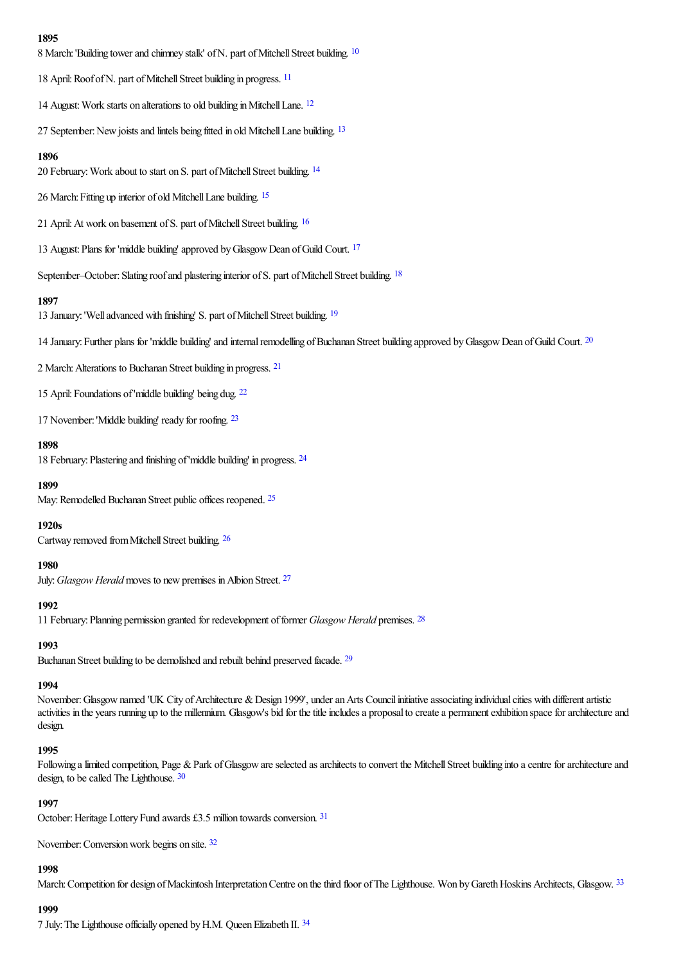#### <span id="page-1-0"></span>**1895**

8 March: 'Building tower and chimney stalk' of N. part of Mitchell Street building. <sup>[10](#page-22-10)</sup>

<span id="page-1-1"></span>18 April: Roof of N. part of Mitchell Street building in progress. <sup>[11](#page-22-11)</sup>

<span id="page-1-3"></span><span id="page-1-2"></span>14 August: Work starts on alterations to old building in Mitchell Lane. <sup>[12](#page-22-12)</sup>

27 September: New joists and lintels being fitted in old Mitchell Lane building. <sup>[13](#page-22-13)</sup>

#### <span id="page-1-4"></span>**1896**

20 February: Work about to start on S. part of Mitchell Street building. <sup>[14](#page-22-14)</sup>

<span id="page-1-5"></span>26 March: Fitting up interior of old Mitchell Lane building. [15](#page-22-15)

21 April: At work on basement of S. part of Mitchell Street building. <sup>[16](#page-22-16)</sup>

<span id="page-1-7"></span><span id="page-1-6"></span>13 August: Plans for 'middle building' approved by Glasgow Dean of Guild Court. <sup>[17](#page-22-17)</sup>

<span id="page-1-8"></span>September–October: Slating roof and plastering interior of S. part of Mitchell Street building. <sup>[18](#page-22-18)</sup>

#### **1897**

<span id="page-1-9"></span>13 January: 'Well advanced with finishing' S. part of Mitchell Street building. <sup>[19](#page-22-19)</sup>

<span id="page-1-11"></span><span id="page-1-10"></span>14 January: Further plans for 'middle building' and internal remodelling of Buchanan Street building approved by Glasgow Dean of Guild Court. <sup>[20](#page-22-20)</sup>

2 March:Alterations to Buchanan Street building in progress. [21](#page-22-21)

<span id="page-1-12"></span>15 April:Foundations of'middle building' being dug. [22](#page-22-22)

<span id="page-1-13"></span>17 November:'Middle building' ready for roofing. [23](#page-22-23)

#### **1898**

<span id="page-1-14"></span>18 February:Plastering and finishing of'middle building' in progress. [24](#page-23-0)

#### <span id="page-1-15"></span>**1899**

May: Remodelled Buchanan Street public offices reopened. <sup>[25](#page-23-1)</sup>

#### <span id="page-1-16"></span>**1920s**

Cartway removed from Mitchell Street building. [26](#page-23-2)

#### <span id="page-1-17"></span>**1980**

July:*Glasgow Herald* moves to newpremises inAlbion Street. [27](#page-23-3)

#### <span id="page-1-18"></span>**1992**

11 February:Planning permission granted for redevelopment offormer *Glasgow Herald* premises. [28](#page-23-4)

### <span id="page-1-19"></span>**1993**

Buchanan Street building to be demolished and rebuilt behind preserved facade. [29](#page-23-5)

### **1994**

November: Glasgow named 'UK City of Architecture & Design 1999', under an Arts Council initiative associating individual cities with different artistic activities in the years running up to the millennium. Glasgow's bid for the title includes a proposal to create a permanent exhibition space for architecture and design.

#### **1995**

<span id="page-1-20"></span>Following a limited competition, Page & Park of Glasgow are selected as architects to convert the Mitchell Street building into a centre for architecture and design, to be called The Lighthouse. [30](#page-23-6)

#### <span id="page-1-21"></span>**1997**

October: Heritage Lottery Fund awards £3.5 million towards conversion. [31](#page-23-7)

<span id="page-1-22"></span>November: Conversion work begins on site. [32](#page-23-8)

#### <span id="page-1-23"></span>**1998**

March: Competition for design of Mackintosh Interpretation Centre on the third floor of The Lighthouse. Won by Gareth Hoskins Architects, Glasgow. [33](#page-23-9)

#### **1999**

<span id="page-1-24"></span>7 July: The Lighthouse officially opened by H.M. Queen Elizabeth II. [34](#page-23-10)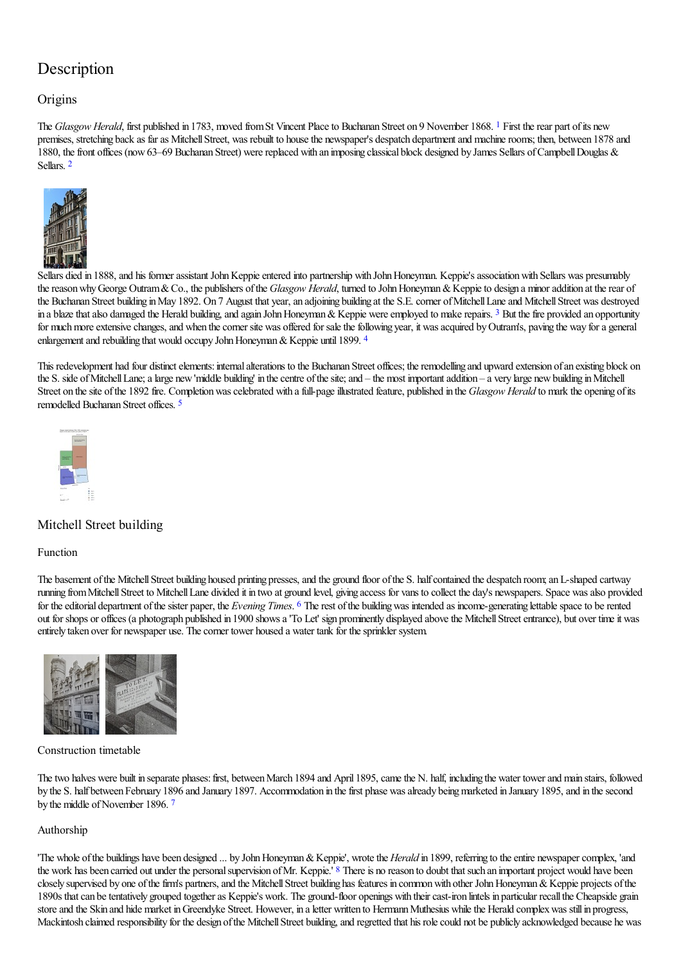# Description

## **Origins**

<span id="page-2-0"></span>The *Glasgow Herald*, first published in [1](#page-23-11)783, moved from St Vincent Place to Buchanan Street on 9 November 1868. <sup>1</sup> First the rear part of its new premises, stretching back as far as Mitchell Street, was rebuilt to house the newspaper's despatch department and machine rooms; then, between 1878 and 1880, the front offices (now 63–69 Buchanan Street) were replaced with an imposing classical block designed by James Sellars of Campbell Douglas & Sellars. [2](#page-23-12)

<span id="page-2-1"></span>

[Sellars](http://www.mackintosh-architecture.gla.ac.uk/catalogue/images/?filename=c069_001) died in 1888, and his former assistant John Keppie entered into partnership with John Honeyman. Keppie's association with Sellars was presumably the reason why George Outram & Co., the publishers of the *Glasgow Herald*, turned to John Honeyman & Keppie to design a minor addition at the rear of the Buchanan Street building in May 1892. On 7 August that year, an adjoining building at the S.E. corner of Mitchell Lane and Mitchell Street was destroyed in a blaze that also damaged the Herald building, and again John Honeyman & Keppie were employed to make repairs. <sup>[3](#page-23-13)</sup> But the fire provided an opportunity for much more extensive changes, and when the corner site was offered for sale the following year, it was acquired by Outram's, paving the way for a general enlargement and rebuilding that would occupy John Honeyman  $&$  Keppie until 1899.  $^{4}$  $^{4}$  $^{4}$ 

This redevelopment had four distinct elements: internal alterations to the Buchanan Street offices; the remodelling and upward extension of an existing block on the S. side of Mitchell Lane; a large new 'middle building' in the centre of the site; and – the most important addition – a very large new building in Mitchell Street on the site of the 1892 fire. Completion was celebrated with a full-page illustrated feature, published in the *Glasgow Herald* to mark the opening of its remodelled Buchanan Street offices. [5](#page-23-15)

<span id="page-2-4"></span><span id="page-2-3"></span><span id="page-2-2"></span>

## Mitchell Street building

#### Function

<span id="page-2-5"></span>The basement of the Mitchell Street building housed printing presses, and the ground floor of the S. half contained the despatch room; an L-shaped cartway running from Mitchell Street to Mitchell Lane divided it in two at ground level, giving access for vans to collect the day's newspapers. Space was also provided for the editorial department of the sister paper, the *Evening Times*. <sup>[6](#page-23-16)</sup> The rest of the building was intended as income-generating lettable space to be rented out for shops or offices (a photograph published in 1900 shows a 'To Let' sign prominently displayed above the Mitchell Street entrance), but over time it was entirely taken over for newspaper use. The corner tower housed a water tank for the sprinkler system.



#### Construction timetable

<span id="page-2-6"></span>The two halves were built in separate phases: first, between March 1894 and April 1895, came the N. half, including the water tower and main stairs, followed by the S. half between February 1896 and January 1897. Accommodation in the first phase was already being marketed in January 1895, and in the second by the middle of November 1896.<sup>[7](#page-23-17)</sup>

#### Authorship

<span id="page-2-7"></span>'The whole of the buildings have been designed ... by John Honeyman & Keppie', wrote the *Herald* in 1899, referring to the entire newspaper complex, 'and the work has been carried out under the personal supervision of Mr. Keppie.' <sup>[8](#page-23-18)</sup> There is no reason to doubt that such an important project would have been closely supervised by one of the firm's partners, and the Mitchell Street building has features in common with other John Honeyman & Keppie projects of the 1890s that can be tentatively grouped together as Keppie's work. The ground-floor openings with their cast-iron lintels in particular recall the Cheapside grain store and the Skin and hide market in Greendyke Street. However, in a letter written to Hermann Muthesius while the Herald complex was still in progress, Mackintosh claimed responsibility for the design of the Mitchell Street building, and regretted that his role could not be publicly acknowledged because he was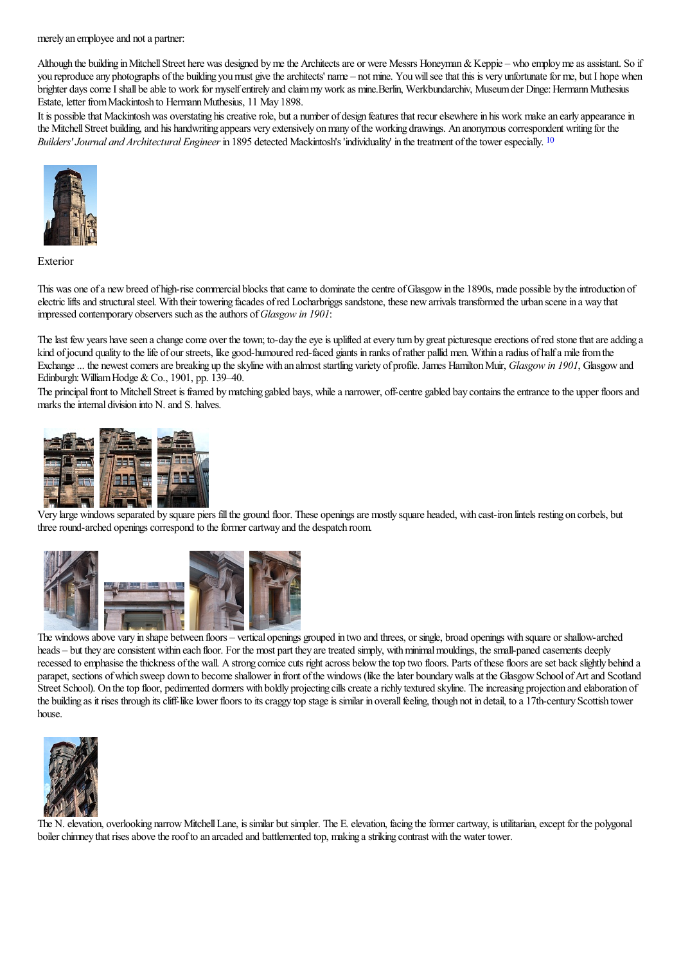merely an employee and not a partner:

Although the building in Mitchell Street here was designed by me the Architects are or were Messrs Honeyman & Keppie – who employ me as assistant. So if you reproduce any photographs of the building you must give the architects' name – not mine. You will see that this is very unfortunate for me, but I hope when brighter days come I shall be able to work for myself entirely and claim my work as mine.Berlin, Werkbundarchiv, Museum der Dinge: Hermann Muthesius Estate, letter from Mackintosh to Hermann Muthesius, 11 May 1898.

<span id="page-3-0"></span>It is possible that Mackintosh was overstating his creative role, but a number of design features that recur elsewhere in his work make an early appearance in the Mitchell Street building, and his handwriting appears very extensively on many of the working drawings. An anonymous correspondent writing for the *Builders' Journal and Architectural Engineer* in 1895 detected Mackintosh's 'individuality' in the treatment of the tower especially. <sup>[10](#page-23-19)</sup>



Exterior

This was one of a new breed of high-rise commercial blocks that came to dominate the centre of Glasgow in the 1890s, made possible by the introduction of electric lifts and structural steel. With their towering facades of red Locharbriggs sandstone, these new arrivals transformed the urban scene in a way that impressed contemporary observers such as theauthors of*Glasgow in 1901*:

The last few years have seen a change come over the town; to-day the eye is uplifted at every turn by great picturesque erections of red stone that are adding a kind of jocund quality to the life of our streets, like good-humoured red-faced giants in ranks of rather pallid men. Within a radius of half a mile from the Exchange ... the newest comers are breaking up the skyline with an almost startling variety of profile. James Hamilton Muir, *Glasgow in* 1901, Glasgow and Edinburgh: William Hodge & Co., 1901, pp. 139–40.

The principal front to Mitchell Street is framed by matching gabled bays, while a narrower, off-centre gabled bay contains the entrance to the upper floors and marks the internal division into N. and S. halves.



Very large windows separated by square piers fillthe ground floor. These openingsare mostly square headed, with cast-iron lintels resting on corbels, but three round-arched openings correspond to the former cartway and the despatch room.



The [windowsab](http://www.mackintosh-architecture.gla.ac.uk/catalogue/images/?filename=c069_015)ove vary in [shape](http://www.mackintosh-architecture.gla.ac.uk/catalogue/images/?filename=c069_016) between [floors](http://www.mackintosh-architecture.gla.ac.uk/catalogue/images/?filename=c069_017) – vertical [openings](http://www.mackintosh-architecture.gla.ac.uk/catalogue/images/?filename=c069_006) grouped in two and threes, or single, broad openings with square or shallow-arched heads – but they are consistent within each floor. For the most part they are treated simply, with minimal mouldings, the small-paned casements deeply recessed to emphasise the thickness of the wall. A strong cornice cuts right across below the top two floors. Parts of these floors are set back slightly behind a parapet, sections of which sweep down to become shallower in front of the windows (like the later boundary walls at the Glasgow School of Art and Scotland Street School). On the top floor, pedimented dormers with boldly projecting cills create a richly textured skyline. The increasing projection and elaboration of the building as it rises through its cliff-like lower floors to its craggy top stage is similar in overall feeling, though not in detail, to a 17th-century Scottish tower house.



The N. elevation, overlooking narrow Mitchell Lane, is similar but simpler. The E. elevation, facing the former cartway, is utilitarian, except for the polygonal boiler chimney that rises above the roof to an arcaded and battlemented top, making a striking contrast with the water tower.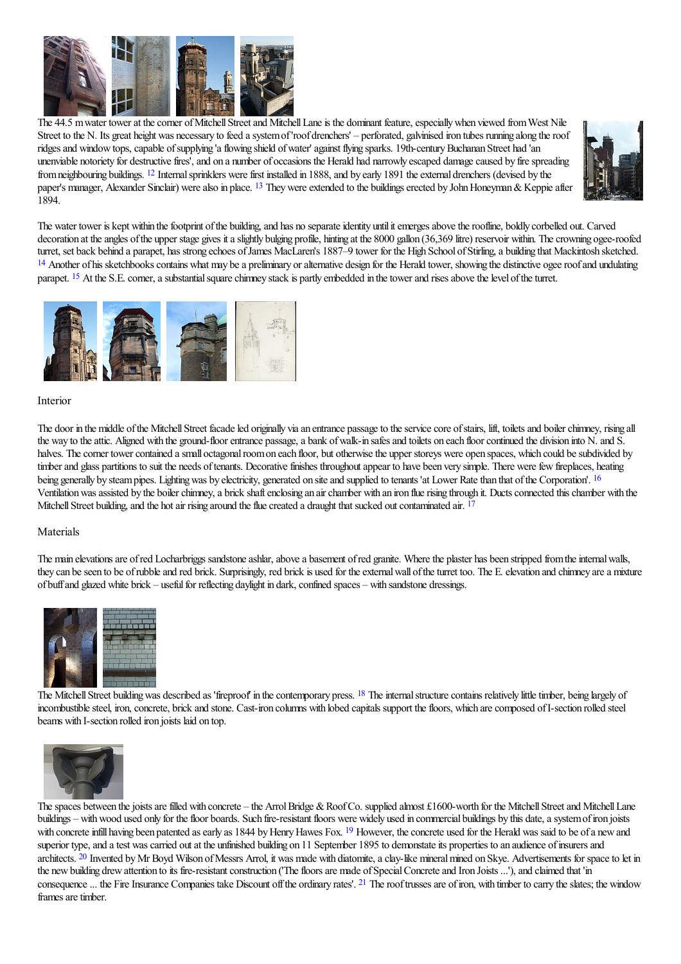

The 44.5 m water tower at the corner of Mitchell Street and Mitchell Lane is the dominant feature, especially when viewed from West Nile Street to the N. Its great height was necessary to feed a system of 'roof drenchers' – perforated, galvinised iron tubes running along the roof ridges and window tops, capable of supplying 'a flowing shield of water' against flying sparks. 19th-century Buchanan Street had 'an unenviable notoriety for destructive fires', and on a number of occasions the Herald had narrowly escaped damage caused by fire spreading from neighbouring buildings. <sup>[12](#page-23-20)</sup> Internal sprinklers were first installed in 1888, and by early 1891 the external drenchers (devised by the paper's manager, Alexander Sinclair) were also in place. <sup>[13](#page-23-21)</sup> They were extended to the buildings erected by John Honeyman & Keppie after 1894.

<span id="page-4-5"></span><span id="page-4-4"></span>

<span id="page-4-2"></span><span id="page-4-1"></span><span id="page-4-0"></span>The water tower is kept within the footprint of the building, and has no separate identity until it emerges above the roofline, boldly corbelled out. Carved decoration at the angles of the upper stage gives it a slightly bulging profile, hinting at the 8000 gallon (36,369 litre) reservoir within. The crowning ogee-roofed turret, set back behind a parapet, has strong echoes ofJames MacLaren's 1887–9 tower for the High School ofStirling,a building that Mackintosh sketched. <sup>[14](#page-23-22)</sup> Another of his sketchbooks contains what may be a preliminary or alternative design for the Herald tower, showing the distinctive ogee roof and undulating parapet. <sup>[15](#page-23-23)</sup> At the S.E. corner, a substantial square chimney stack is partly embedded in the tower and rises above the level of the turret.

<span id="page-4-3"></span>

#### Interior

The door in the middle of the Mitchell Street facade led originally via an entrance passage to the service core of stairs, lift, toilets and boiler chimney, rising all the way to the attic. Aligned with the ground-floor entrance passage, a bank of walk-in safes and toilets on each floor continued the division into N. and S. halves. The corner tower contained a small octagonal room on each floor, but otherwise the upper storeys were open spaces, which could be subdivided by timber and glass partitions to suit the needs of tenants. Decorative finishes throughout appear to have been very simple. There were few fireplaces, heating being generally by steam pipes. Lighting was by electricity, generated on site and supplied to tenants 'at Lower Rate than that of the Corporation'. <sup>[16](#page-23-24)</sup> Ventilation was assisted by the boiler chimney, a brick shaft enclosing an air chamber with an iron flue rising through it. Ducts connected this chamber with the Mitchell Street building, and the hot air rising around the flue created a draught that sucked out contaminated air. [17](#page-23-25)

#### Materials

The main elevations are of red Locharbriggs sandstone ashlar, above a basement of red granite. Where the plaster has been stripped from the internal walls, they can be seen to be of rubble and red brick. Surprisingly, red brick is used for the external wall of the turret too. The E. elevation and chimney are a mixture of buff and glazed white brick – useful for reflecting daylight in dark, confined spaces – with sandstone dressings.



The Mitchell Street building was described as 'fireproof' in the contemporary press. <sup>[18](#page-23-26)</sup> The internal structure contains relatively little timber, being largely of incombustible steel, iron, concrete, brick and stone. Cast-iron columns with lobed capitals support the floors, which are composed of I-section rolled steel beams with I-section rolled iron joists laid on top.

<span id="page-4-6"></span>

<span id="page-4-9"></span><span id="page-4-8"></span><span id="page-4-7"></span>The spaces between the joists are filled with concrete – the Arrol Bridge & Roof Co. supplied almost £1600-worth for the Mitchell Street and Mitchell Lane buildings – with wood used only for the floor boards. Such fire-resistant floors were widely used in commercial buildings by this date, a system of iron joists with concrete infill having been patented as early as 1844 by Henry Hawes Fox. <sup>[19](#page-23-27)</sup> However, the concrete used for the Herald was said to be of a new and superior type, and a test was carried out at the unfinished building on 11 September 1895 to demonstate its properties to an audience of insurers and architects. <sup>[20](#page-23-28)</sup> Invented by Mr Boyd Wilson of Messrs Arrol, it was made with diatomite, a clay-like mineral mined on Skye. Advertisements for space to let in the new building drew attention to its fire-resistant construction ('The floors are made of Special Concrete and Iron Joists ...'), and claimed that 'in consequence ... the Fire Insurance Companies take Discount off the ordinary rates'. <sup>[21](#page-23-29)</sup> The roof trusses are of iron, with timber to carry the slates; the window frames are timber.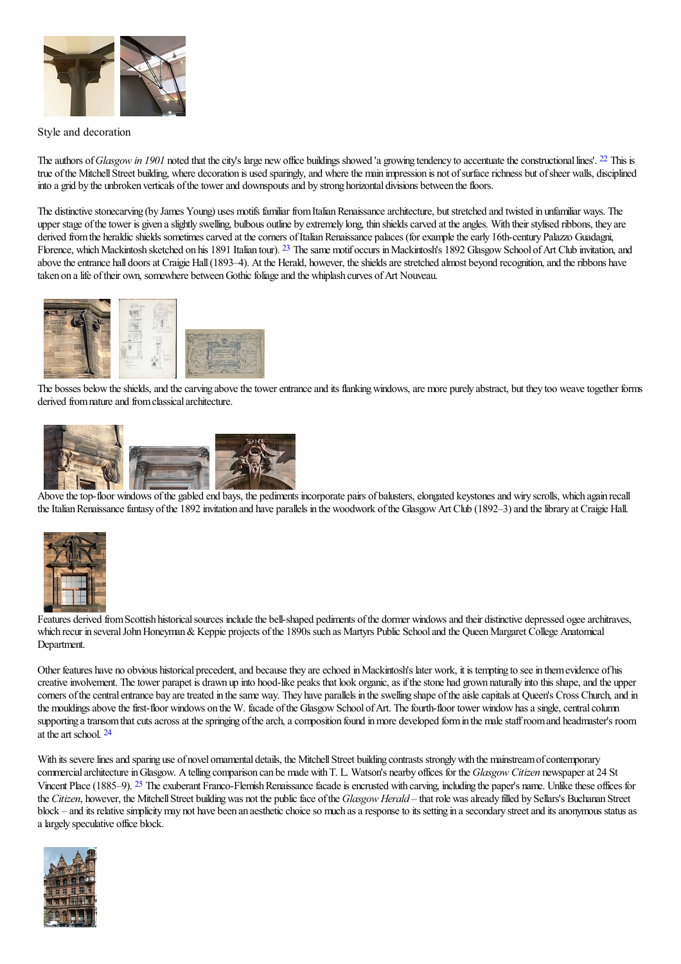

#### Style and decoration

<span id="page-5-0"></span>The authors of *Glasgow in* 1901 noted that the city's large new office buildings showed 'a growing tendency to accentuate the constructional lines'. <sup>[22](#page-23-30)</sup> This is true of the Mitchell Street building, where decoration is used sparingly, and where the main impression is not of surface richness but of sheer walls, disciplined into a grid by the unbroken verticals of the tower and downspouts and by strong horizontal divisions between the floors.

The distinctive stonecarving (by James Young) uses motifs familiar from Italian Renaissance architecture, but stretched and twisted in unfamiliar ways. The upper stage of the tower is given a slightly swelling, bulbous outline by extremely long, thin shields carved at the angles. With their stylised ribbons, they are derived from the heraldic shields sometimes carved at the corners of Italian Renaissance palaces (for example the early 16th-century Palazzo Guadagni, Florence, which Mackintosh sketched on his 1891 Italian tour). <sup>[23](#page-24-0)</sup> The same motif occurs in Mackintosh's 1892 Glasgow School of Art Club invitation, and above the entrance hall doors at Craigie Hall (1893–4). At the Herald, however, the shields are stretched almost beyond recognition, and the ribbons have taken on a life of their own, somewhere between Gothic foliage and the whiplash curves of Art Nouveau.

<span id="page-5-1"></span>

The bosses below the shields, and the carving above the tower entrance and its flanking windows, are more purely abstract, but they too weave together forms derived from nature and from classical architecture.



Above the top-floor [windows](http://www.mackintosh-architecture.gla.ac.uk/catalogue/images/?filename=c069_018) of the gabled end bays, the [pediment](http://www.mackintosh-architecture.gla.ac.uk/catalogue/images/?filename=c069_019)s incorporate pairs of balusters, elongated keystones and wiry scrolls, which again recall the Italian Renaissance fantasy of the 1892 invitation and have parallels in the woodwork of the Glasgow Art Club (1892–3) and the library at Craigie Hall.



[Features](http://www.mackintosh-architecture.gla.ac.uk/catalogue/images/?filename=c069_005) derived from Scottish historical sources include the bell-shaped pediments of the dormer windows and their distinctive depressed ogee architraves, which recur in several John Honeyman & Keppie projects of the 1890s such as Martyrs Public School and the Queen Margaret College Anatomical Department.

Other features have no obvious historical precedent, and because they are echoed in Mackintosh's later work, it is tempting to see in them evidence of his creative involvement. The tower parapet is drawn up into hood-like peaks that look organic, as if the stone had grown naturally into this shape, and the upper corners of the central entrance bay are treated in the same way. They have parallels in the swelling shape of the aisle capitals at Queen's Cross Church, and in the mouldings above the first-floor windows on the W. facade of the Glasgow School of Art. The fourth-floor tower window has a single, central column supporting a transom that cuts across at the springing of the arch, a composition found in more developed form in the male staff room and headmaster's room at the art school.  $24$ 

<span id="page-5-3"></span><span id="page-5-2"></span>With its severe lines and sparing use of novel ornamental details, the Mitchell Street building contrasts strongly with the mainstream of contemporary commercialarchitectureinGlasgow. Atelling comparison can be made withT. L. Watson's nearby offices for the *Glasgow Citizen* newspaperat 24 St Vincent Place (1885–9). <sup>[25](#page-24-2)</sup> The exuberant Franco-Flemish Renaissance facade is encrusted with carving, including the paper's name. Unlike these offices for the *Citizen*, however, the Mitchell Street building was not the public face of the *Glasgow Herald* – that role was already filled by Sellars's Buchanan Street block – and its relative simplicity may not have been an aesthetic choice so much as a response to its setting in a secondary street and its anonymous status as alargely speculative office block.

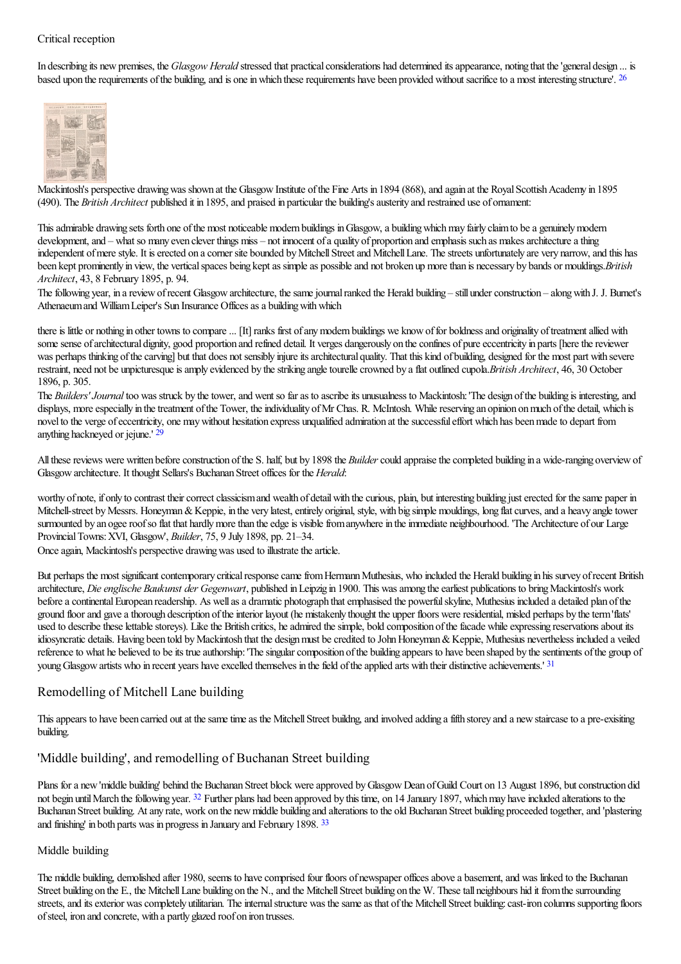#### Critical reception

In describing its new premises, the *Glasgow Herald* stressed that practical considerations had determined its appearance, noting that the 'general design ... is based upon the requirements of the building, and is one in which these requirements have been provided without sacrifice to a most interesting structure'. <sup>[26](#page-24-3)</sup>

<span id="page-6-0"></span>

[Mackintosh](http://www.mackintosh-architecture.gla.ac.uk/catalogue/images/?filename=a069_008)'[s](http://www.mackintosh-architecture.gla.ac.uk/catalogue/images/?filename=a069_008) perspective drawing was shown at the Glasgow Institute of the Fine Arts in 1894 (868), and again at the Royal Scottish Academy in 1895 (490). The *British Architect* published it in 1895, and praised in particular the building's austerity and restrained use of ornament:

This admirable drawing sets forth one of the most noticeable modern buildings in Glasgow, a building which may fairly claim to be a genuinely modern development, and – what so many even clever things miss – not innocent of a quality of proportion and emphasis such as makes architecture a thing independent of mere style. It is erected on a corner site bounded by Mitchell Street and Mitchell Lane. The streets unfortunately are very narrow, and this has been kept prominently in view, the verticalspaces being keptas simpleas possibleand not broken up morethan is necessary by bands or mouldings.*British Architect*, 43, 8 February 1895, p. 94.

The following year, in a review of recent Glasgow architecture, the same journal ranked the Herald building – still under construction – along with J. J. Burnet's Athenaeum and William Leiper's Sun Insurance Offices as a building with which

there is little or nothing in other towns to compare... [It] ranks first of any modern buildings we know of for boldness and originality of treatment allied with some sense of architectural dignity, good proportion and refined detail. It verges dangerously on the confines of pure eccentricity in parts [here the reviewer was perhaps thinking of the carving] but that does not sensibly injure its architectural quality. That this kind of building, designed for the most part with severe restraint, need not be unpicturesque is amply evidenced by the striking angle tourelle crowned by a flat outlined cupola.*British Architect*, 46, 30 October 1896, p. 305.

The *Builders' Journal* too was struck by the tower, and went so far as to ascribe its unusualness to Mackintosh: 'The design of the building is interesting, and displays, more especially in the treatment of the Tower, the individuality of Mr Chas. R. McIntosh. While reserving an opinion on much of the detail, which is novelto the verge ofeccentricity, one maywithout hesitation express unqualified admiration at thesuccessfuleffort which has beenmadeto depart from anything hackneyed or jejune.' [29](#page-24-4)

<span id="page-6-1"></span>All these reviews were written before construction of the S. half, but by 1898 the *Builder* could appraise the completed building in a wide-ranging overview of Glasgowarchitecture. It thought Sellars's Buchanan Street offices for the *Herald*:

worthy of note, if only to contrast their correct classicism and wealth of detail with the curious, plain, but interesting building just erected for the same paper in Mitchell-street by Messrs. Honeyman & Keppie, in the very latest, entirely original, style, with big simple mouldings, long flat curves, and a heavy angle tower surmounted by an ogee roof so flat that hardly more than the edge is visible from anywhere in the immediate neighbourhood. 'The Architecture of our Large ProvincialTowns:XVI, Glasgow', *Builder*, 75, 9 July 1898, pp. 21–34.

Once again, Mackintosh's perspective drawing was used to illustrate the article.

But perhaps the most significant contemporary critical response came from Hermann Muthesius, who included the Herald building in his survey of recent British architecture, *Dieenglische Baukunst der Gegenwart*, published inLeipzig in 1900. This wasamong theearliest publications to bringMackintosh's work before a continental European readership. As well as a dramatic photograph that emphasised the powerful skyline, Muthesius included a detailed plan of the ground floorand gaveathorough description oftheinterior layout (he mistakenly thought the upper floors wereresidential, misled perhaps by theterm'flats' used to describe these lettable storeys). Like the British critics, he admired the simple, bold composition of the facade while expressing reservations about its idiosyncratic details. Having been told by Mackintosh that the design must be credited to John Honeyman & Keppie, Muthesius nevertheless included a veiled reference to what he believed to be its true authorship: 'The singular composition of the building appears to have been shaped by the sentiments of the group of young Glasgow artists who in recent years have excelled themselves in the field of the applied arts with their distinctive achievements.' [31](#page-24-5)

## <span id="page-6-2"></span>Remodelling of Mitchell Lane building

This appears to have been carried out at the same time as the Mitchell Street buildng, and involved adding a fifth storey and a new staircase to a pre-exisiting building.

### 'Middle building', and remodelling of Buchanan Street building

<span id="page-6-3"></span>Plans for a new 'middle building' behind the Buchanan Street block were approved by Glasgow Dean of Guild Court on 13 August 1896, but construction did not begin until March the following year. <sup>[32](#page-24-6)</sup> Further plans had been approved by this time, on 14 January 1897, which may have included alterations to the Buchanan Street building. At any rate, work on the new middle building and alterations to the old Buchanan Street building proceeded together, and 'plastering and finishing' in both parts was in progress in January and February 1898. [33](#page-24-7)

#### <span id="page-6-4"></span>Middle building

The middle building, demolished after 1980, seems to have comprised four floors of newspaper offices above a basement, and was linked to the Buchanan Street building on the E., the Mitchell Lane building on the N., and the Mitchell Street building on the W. These tall neighbours hid it from the surrounding streets, and its exterior was completely utilitarian. The internal structure was the same as that of the Mitchell Street building: cast-iron columns supporting floors ofsteel, iron and concrete, with a partly glazed roof on iron trusses.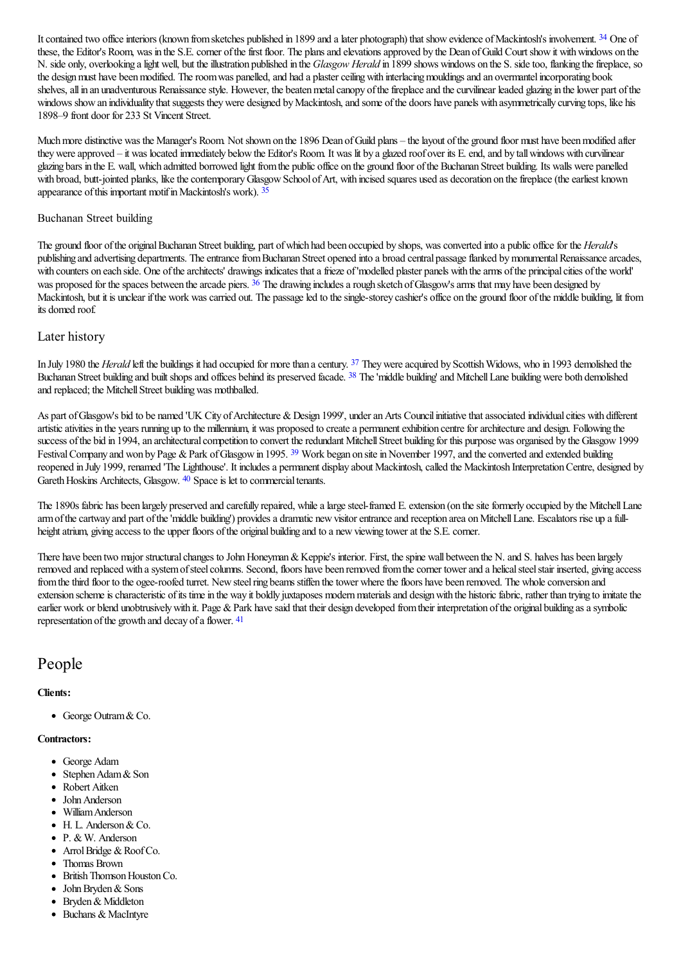<span id="page-7-0"></span>It contained two office interiors (known from sketches published in 1899 and a later photograph) that show evidence of Mackintosh's involvement. [34](#page-24-8) One of these, the Editor's Room, was in the S.E. corner of the first floor. The plans and elevations approved by the Dean of Guild Court show it with windows on the N. side only, overlooking a light well, but the illustration published in the *Glasgow Herald* in 1899 shows windows on the S. side too, flanking the fireplace, so the design must have been modified. The room was panelled, and had a plaster ceiling with interlacing mouldings and an overmantel incorporating book shelves, all in an unadventurous Renaissance style. However, the beaten metal canopy of the fireplace and the curvilinear leaded glazing in the lower part of the windows show an individuality that suggests they were designed by Mackintosh, and some of the doors have panels with asymmetrically curving tops, like his 1898–9 front door for 233 St Vincent Street.

Much more distinctive was the Manager's Room. Not shown on the 1896 Dean of Guild plans – the layout of the ground floor must have been modified after they were approved – it was located immediately below the Editor's Room. It was lit by a glazed roof over its E. end, and by tall windows with curvilinear glazing bars in the E. wall, which admitted borrowed light fromthe public office on the ground floor ofthe Buchanan Street building. Its walls were panelled with broad, butt-jointed planks, like the contemporary Glasgow School of Art, with incised squares used as decoration on the fireplace (the earliest known appearance of this important motif in Mackintosh's work). [35](#page-24-9)

#### <span id="page-7-1"></span>Buchanan Street building

<span id="page-7-2"></span>The ground floor of the original Buchanan Street building, part of which had been occupied by shops, was converted into a public office for the *Herald*'s publishing and advertising departments. The entrance from Buchanan Street opened into a broad central passage flanked by monumental Renaissance arcades, with counters on each side. One of the architects' drawings indicates that a frieze of 'modelled plaster panels with the arms of the principal cities of the world' was proposed for the spaces between the arcade piers. <sup>[36](#page-24-10)</sup> The drawing includes a rough sketch of Glasgow's arms that may have been designed by Mackintosh, but it is unclear if the work was carried out. The passage led to the single-storey cashier's office on the ground floor of the middle building, lit from its domed roof.

#### Later history

<span id="page-7-4"></span><span id="page-7-3"></span>In July 1980 the *Herald* left the buildings it had occupied for more than a century. <sup>[37](#page-24-11)</sup> They were acquired by Scottish Widows, who in 1993 demolished the Buchanan Street building and built shops and offices behind its preserved facade. <sup>[38](#page-24-12)</sup> The 'middle building' and Mitchell Lane building were both demolished and replaced; the Mitchell Street building was mothballed.

<span id="page-7-5"></span>As part of Glasgow's bid to be named 'UK City of Architecture & Design 1999', under an Arts Council initiative that associated individual cities with different artistic ativities in the years running up to the millennium, it was proposed to create a permanent exhibition centre for architecture and design. Following the success of the bid in 1994, an architectural competition to convert the redundant Mitchell Street building for this purpose was organised by the Glasgow 1999 Festival Company and won by Page & Park of Glasgow in 1995. <sup>[39](#page-24-13)</sup> Work began on site in November 1997, and the converted and extended building reopened in July 1999, renamed 'The Lighthouse'. It includes a permanent display about Mackintosh, called the Mackintosh Interpretation Centre, designed by Gareth Hoskins Architects, Glasgow. <sup>[40](#page-24-14)</sup> Space is let to commercial tenants.

<span id="page-7-6"></span>The 1890s fabric has been largely preserved and carefully repaired, while a large steel-framed E. extension (on the site formerly occupied by the Mitchell Lane arm of the cartway and part of the 'middle building') provides a dramatic new visitor entrance and reception area on Mitchell Lane. Escalators rise up a fullheight atrium, giving access to the upper floors of the original building and to a new viewing tower at the S.E. corner.

There have been two major structural changes to John Honeyman & Keppie's interior. First, the spine wall between the N. and S. halves has been largely removed and replaced with a system of steel columns. Second, floors have been removed from the corner tower and a helical steel stair inserted, giving access from the third floor to the ogee-roofed turret. New steel ring beams stiffen the tower where the floors have been removed. The whole conversion and extension scheme is characteristic of its time in the way it boldly juxtaposes modern materials and design with the historic fabric, rather than trying to imitate the earlier work or blend unobtrusively with it. Page & Park have said that their design developed from their interpretation of the original building as a symbolic representation of the growth and decay of a flower.  $41$ 

## <span id="page-7-7"></span>People

#### **Clients:**

• George Outram & Co.

#### **Contractors:**

- George Adam
- Stephen Adam & Son
- Robert Aitken
- John Anderson
- WilliamAnderson
- H. L. Anderson & Co.
- P. & W. Anderson
- $\bullet$  Arrol Bridge & Roof Co.
- Thomas Brown
- British Thomson Houston Co.
- John Bryden & Sons
- Bryden & Middleton
- Buchans & MacIntyre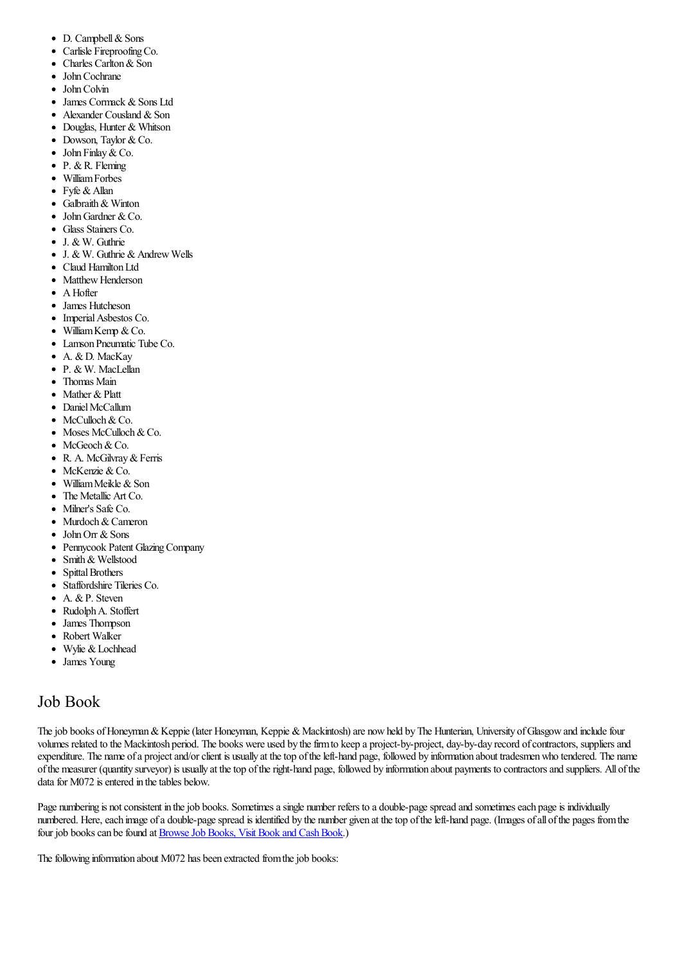- $\bullet$ D. Campbell & Sons
- $\bullet$ Carlisle Fireproofing Co.
- $\bullet$ Charles Carlton&Son
- $\bullet$ JohnCochrane
- JohnColvin
- James Cormack & Sons Ltd  $\bullet$
- Alexander Cousland & Son  $\bullet$
- Douglas, Hunter & Whitson
- $\bullet$  Dowson, Taylor & Co.
- John Finlay & Co.
- $\bullet$  P. & R. Fleming
- WilliamForbes  $\bullet$
- $\bullet$  Fyfe & Allan
- $\bullet$ Galbraith& Winton John Gardner  $&Co$ .
- Glass Stainers Co.
- J. & W. Guthrie
- $\bullet$  J. & W. Guthrie & Andrew Wells
- Claud Hamilton Ltd
- Matthew Henderson
- $\bullet$  A Hofter
- James Hutcheson
- Imperial Asbestos Co.
- $\bullet$  William Kemp & Co.
- Lamson Pneumatic Tube Co.
- A. & D. MacKay
- P. & W. MacLellan
- Thomas Main
- Mather & Platt
- Daniel McCallum
- McCulloch & Co.
- Moses McCulloch & Co.
- McGeoch & Co.
- R. A. McGilvray&Ferris
- McKenzie & Co.
- William Meikle & Son
- The Metallic Art Co.
- Milner's Safe Co.
- Murdoch & Cameron
- $\bullet$  John Orr & Sons
- Pennycook Patent Glazing Company
- Smith & Wellstood
- **Spittal Brothers**  $\bullet$
- Staffordshire Tileries Co.
- A. & P. Steven
- RudolphA. Stoffert  $\bullet$
- James Thompson  $\bullet$
- Robert Walker  $\bullet$
- Wylie & Lochhead  $\bullet$
- James Young

## Job Book

The job books of Honeyman & Keppie (later Honeyman, Keppie & Mackintosh) are now held by The Hunterian, University of Glasgow and include four volumes related to the Mackintosh period. The books were used by the firm to keep a project-by-project, day-by-day record of contractors, suppliers and expenditure. The name of a project and/or client is usually at the top of the left-hand page, followed by information about tradesmen who tendered. The name ofthe measurer (quantity surveyor) is usually at thetop oftheright-hand page, followed by information about payments to contractorsand suppliers. All ofthe data for M072 is entered in the tables below.

Page numbering is not consistent in the job books. Sometimes a single number refers to a double-page spread and sometimes each page is individually numbered. Here, each image of a double-page spread is identified by the number given at the top of the left-hand page. (Images of all of the pages from the four job books can be found at Browse Job Books, Visit Book and Cash Book.)

The following information about M072 has been extracted from the job books: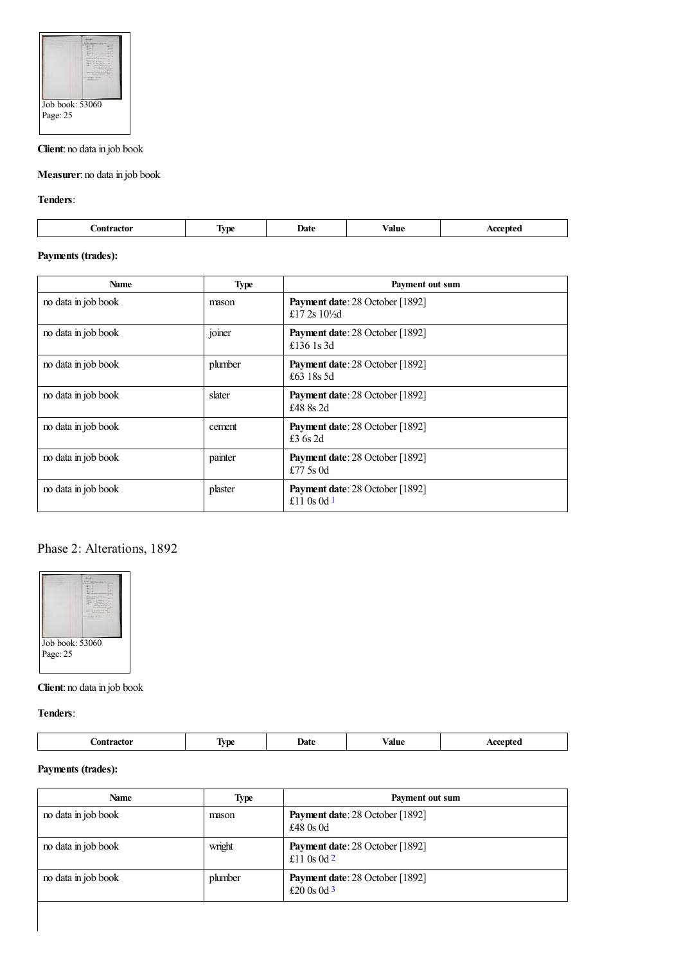

## **Client**: no data in job book

**Measurer**: no data in job book

**Tenders**:

| Date<br>ание<br>.<br>.<br>_ _ _ _ _ _ _ _<br>.<br>$\ddot{\phantom{0}}$ |
|------------------------------------------------------------------------|
|------------------------------------------------------------------------|

## **Payments (trades):**

| <b>Name</b>         | <b>Type</b> | Payment out sum                                                    |
|---------------------|-------------|--------------------------------------------------------------------|
| no data in job book | mason       | <b>Payment date:</b> 28 October [1892]<br>£17 2s $10\frac{1}{2}$ d |
| no data in job book | joiner      | Payment date: 28 October [1892]<br>£136 1s 3d                      |
| no data in job book | plumber     | Payment date: 28 October [1892]<br>£63 18s 5d                      |
| no data in job book | slater      | Payment date: 28 October [1892]<br>£48 8s 2d                       |
| no data in job book | cement      | Payment date: 28 October [1892]<br>£3 $6s$ 2d                      |
| no data in job book | painter     | Payment date: 28 October [1892]<br>£77.5 $\rm s$ 0d                |
| no data in job book | plaster     | Payment date: 28 October [1892]<br>£11 0s 0d $1$                   |

## <span id="page-9-0"></span>Phase 2: Alterations, 1892



## **Client**: no data in job book

**Tenders**:

| _ _ _ _ _ _ _ _ | VD.<br>$\sqrt{1}$ | Date | ⁄ alue | $\sim$ |
|-----------------|-------------------|------|--------|--------|
|                 |                   |      |        |        |

<span id="page-9-2"></span><span id="page-9-1"></span>

| Name                | <b>Type</b> | Payment out sum                                         |
|---------------------|-------------|---------------------------------------------------------|
| no data in job book | mason       | <b>Payment date: 28 October [1892]</b><br>£48 $0s$ 0d   |
| no data in job book | wright      | <b>Payment date:</b> 28 October [1892]<br>£11 0s 0d $2$ |
| no data in job book | plumber     | <b>Payment date:</b> 28 October [1892]<br>£20 0s 0d $3$ |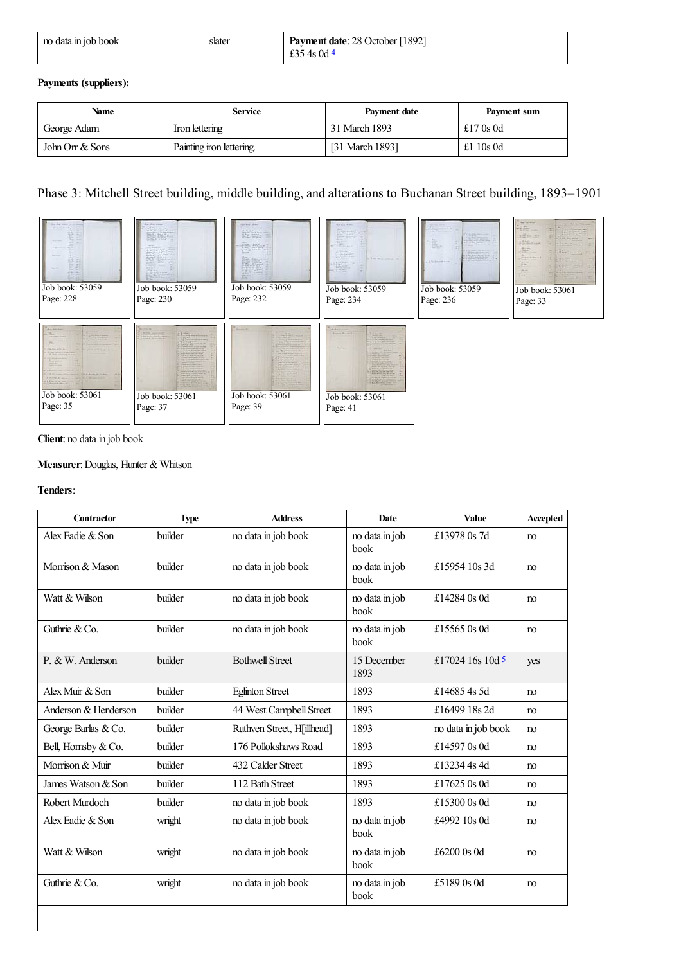<span id="page-10-0"></span>

| no data in job book | slater | Payment date: 28 October [1892] |
|---------------------|--------|---------------------------------|
|                     |        | $\pm 354$ s 0d 4                |

| Name            | <b>Service</b>           | Payment date    | Payment sum |
|-----------------|--------------------------|-----------------|-------------|
| George Adam     | Iron lettering           | 31 March 1893   | £17 $0s$ 0d |
| John Orr & Sons | Painting iron lettering. | [31 March 1893] | £1 10s 0d   |

## Phase 3: Mitchell Street building, middle building, and alterations to Buchanan Street building, 1893–1901



#### **Client**: no data in job book

## **Measurer**:Douglas, Hunter & Whitson

### **Tenders**:

<span id="page-10-1"></span>

| Contractor           | <b>Type</b> | <b>Address</b>             | <b>Date</b>            | <b>Value</b>        | Accepted |
|----------------------|-------------|----------------------------|------------------------|---------------------|----------|
| Alex Fadie & Son     | builder     | no data in job book        | no data in job<br>book | £13978 0s 7d        | no       |
| Morrison & Mason     | builder     | no data in job book        | no data in job<br>book | £15954 10s 3d       | no       |
| Watt & Wilson        | builder     | no data in job book        | no data in job<br>book | £14284 0s 0d        | no       |
| Guthrie & Co.        | builder     | no data in job book        | no data in job<br>book | £15565 0s 0d        | no       |
| $P. & W.$ Anderson   | builder     | <b>Bothwell Street</b>     | 15 December<br>1893    | £17024 16s 10d 5    | yes      |
| Alex Muir $&$ Son    | builder     | <b>Eglinton Street</b>     | 1893                   | £14685 4s 5d        | no       |
| Anderson & Henderson | builder     | 44 West Campbell Street    | 1893                   | £16499 18s 2d       | no       |
| George Barlas & Co.  | builder     | Ruthven Street, H[illhead] | 1893                   | no data in job book | no       |
| Bell, Hornsby & Co.  | builder     | 176 Pollokshaws Road       | 1893                   | £14597 0s 0d        | m        |
| Morrison & Muir      | builder     | 432 Calder Street          | 1893                   | £13234 4s 4d        | no       |
| James Watson & Son   | builder     | 112 Bath Street            | 1893                   | £17625 0s 0d        | no       |
| Robert Murdoch       | builder     | no data in job book        | 1893                   | £15300 0s 0d        | no       |
| Alex Fadie & Son     | wright      | no data in job book        | no data in job<br>book | £4992 10s 0d        | no       |
| Watt & Wilson        | wright      | no data in job book        | no data in job<br>book | £6200 0s 0d         | no       |
| Guthrie & Co.        | wright      | no data in job book        | no data in job<br>book | £5189 0s 0d         | no       |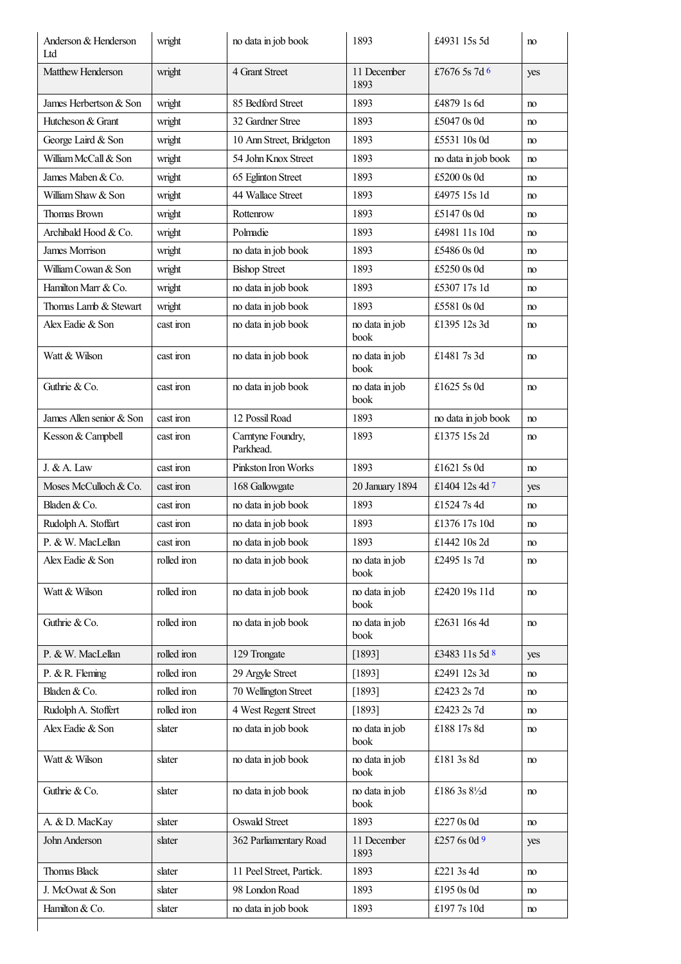<span id="page-11-3"></span><span id="page-11-2"></span><span id="page-11-1"></span><span id="page-11-0"></span>

| Anderson & Henderson<br>Ltd | wright      | no data in job book            | 1893                   | £4931 15s 5d        | no  |
|-----------------------------|-------------|--------------------------------|------------------------|---------------------|-----|
| Matthew Henderson           | wright      | 4 Grant Street                 | 11 December<br>1893    | £7676 5s 7d 6       | yes |
| James Herbertson & Son      | wright      | 85 Bedford Street              | 1893                   | £4879 1s 6d         | no  |
| Hutcheson & Grant           | wright      | 32 Gardner Stree               | 1893                   | £5047 0s 0d         | no  |
| George Laird & Son          | wright      | 10 Ann Street, Bridgeton       | 1893                   | £5531 10s 0d        | no  |
| William McCall & Son        | wright      | 54 John Knox Street            | 1893                   | no data in job book | no  |
| James Maben & Co.           | wright      | 65 Eglinton Street             | 1893                   | £5200 0s 0d         | no  |
| William Shaw & Son          | wright      | 44 Wallace Street              | 1893                   | £4975 15s 1d        | no  |
| Thomas Brown                | wright      | Rottenrow                      | 1893                   | £5147 0s 0d         | no  |
| Archibald Hood & Co.        | wright      | Polmadie                       | 1893                   | £4981 11s 10d       | no  |
| James Morrison              | wright      | no data in job book            | 1893                   | £5486 0s 0d         | no  |
| William Cowan & Son         | wright      | <b>Bishop Street</b>           | 1893                   | £5250 0s 0d         | no  |
| Hamilton Marr & Co.         | wright      | no data in job book            | 1893                   | £5307 17s 1d        | no  |
| Thomas Lamb & Stewart       | wright      | no data in job book            | 1893                   | £5581 0s 0d         | no  |
| Alex Eadie & Son            | cast iron   | no data in job book            | no data in job<br>book | £1395 12s 3d        | no  |
| Watt & Wilson               | cast iron   | no data in job book            | no data in job<br>book | £1481 7s 3d         | no  |
| Guthrie & Co.               | cast iron   | no data in job book            | no data in job<br>book | £1625 5s 0d         | no  |
| James Allen senior & Son    | cast iron   | 12 Possil Road                 | 1893                   | no data in job book | no  |
| Kesson & Campbell           | cast iron   | Carntyne Foundry,<br>Parkhead. | 1893                   | £1375 15s 2d        | no  |
| J. & A. Law                 | cast iron   | Pinkston Iron Works            | 1893                   | £1621 5s 0d         | no  |
| Moses McCulloch & Co.       | cast iron   | 168 Gallowgate                 | 20 January 1894        | £1404 12s 4d 7      | yes |
| Bladen & Co.                | cast iron   | no data in job book            | 1893                   | £1524 7s 4d         | no  |
| Rudolph A. Stoffart         | cast iron   | no data in job book            | 1893                   | £1376 17s 10d       | no  |
| P. & W. MacLellan           | cast iron   | no data in job book            | 1893                   | £1442 $10s$ 2d      | no  |
| Alex Eadie & Son            | rolled iron | no data in job book            | no data in job<br>book | £2495 1s 7d         | no  |
| Watt & Wilson               | rolled iron | no data in job book            | no data in job<br>book | £2420 19s 11d       | no  |
| Guthrie & Co.               | rolled iron | no data in job book            | no data in job<br>book | £2631 16s 4d        | no  |
| P. & W. MacLellan           | rolled iron | 129 Trongate                   | [1893]                 | £3483 11s 5d 8      | yes |
| P. & R. Fleming             | rolled iron | 29 Argyle Street               | [1893]                 | £2491 12s 3d        | no  |
| Bladen & Co.                | rolled iron | 70 Wellington Street           | [1893]                 | £2423 2s 7d         | no  |
| Rudolph A. Stoffert         | rolled iron | 4 West Regent Street           | [1893]                 | £2423 2s 7d         | no  |
| Alex Eadie & Son            | slater      | no data in job book            | no data in job<br>book | £188 17s 8d         | no  |
| Watt & Wilson               | slater      | no data in job book            | no data in job<br>book | £181 3s 8d          | no  |
| Guthrie & Co.               | slater      | no data in job book            | no data in job<br>book | £186 3s 81/2d       | no  |
| A. & D. MacKay              | slater      | <b>Oswald Street</b>           | 1893                   | £227 0s 0d          | no  |
| John Anderson               | slater      | 362 Parliamentary Road         | 11 December<br>1893    | £257 6s 0d 9        | yes |
| <b>Thomas Black</b>         | slater      | 11 Peel Street, Partick.       | 1893                   | £221 3s 4d          | no  |
| J. McOwat & Son             | slater      | 98 London Road                 | 1893                   | £195 0s 0d          | no  |
| Hamilton & Co.              | slater      | no data in job book            | 1893                   | £1977s 10d          | no  |
|                             |             |                                |                        |                     |     |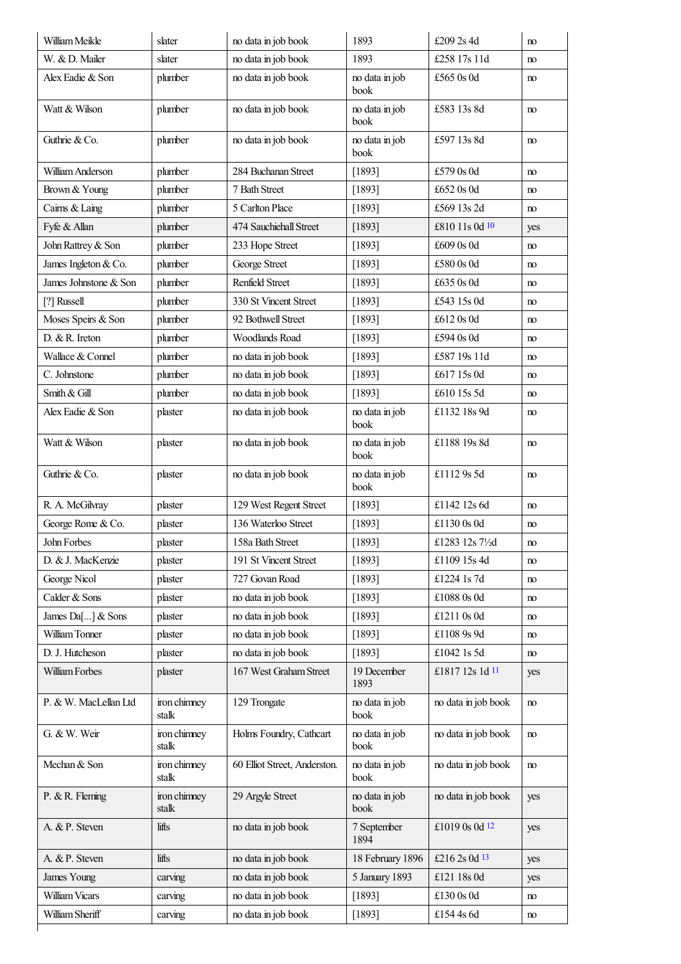<span id="page-12-3"></span><span id="page-12-2"></span><span id="page-12-1"></span><span id="page-12-0"></span>

| William Meikle        | slater                | no data in job book          | 1893                   | £209 2s 4d          | no  |
|-----------------------|-----------------------|------------------------------|------------------------|---------------------|-----|
| W. & D. Mailer        | slater                | no data in job book          | 1893                   | £258 17s 11d        | no  |
| Alex Eadie & Son      | plumber               | no data in job book          | no data in job<br>book | £565 0s 0d          | no  |
| Watt & Wilson         | plumber               | no data in job book          | no data in job<br>book | £583 13s 8d         | no  |
| Guthrie & Co.         | plumber               | no data in job book          | no data in job<br>book | £597 13s 8d         | no  |
| William Anderson      | plumber               | 284 Buchanan Street          | [1893]                 | £579 0s 0d          | no  |
| Brown & Young         | plumber               | 7 Bath Street                | [1893]                 | £652 0s 0d          | no  |
| Cairns & Laing        | plumber               | 5 Carlton Place              | [1893]                 | £569 13s 2d         | no  |
| Fyfe & Allan          | plumber               | 474 Sauchiehall Street       | [1893]                 | £810 11s 0d 10      | yes |
| John Rattrey & Son    | plumber               | 233 Hope Street              | [1893]                 | £609 0s 0d          | no  |
| James Ingleton & Co.  | plumber               | George Street                | [1893]                 | £580 0s 0d          | no  |
| James Johnstone & Son | plumber               | Renfield Street              | [1893]                 | £635 0s 0d          | no  |
| [?] Russell           | plumber               | 330 St Vincent Street        | $[1893]$               | £543 15s 0d         | no  |
| Moses Speirs & Son    | plumber               | 92 Bothwell Street           | [1893]                 | £612 0s 0d          | no  |
| D. & R. Ireton        | plumber               | Woodlands Road               | [1893]                 | £594 0s 0d          | no  |
| Wallace & Connel      | plumber               | no data in job book          | [1893]                 | £587 19s 11d        | no  |
| C. Johnstone          | plumber               | no data in job book          | [1893]                 | £617 15s 0d         | no  |
| Smith & Gill          | plumber               | no data in job book          | [1893]                 | £610 15s 5d         | no  |
| Alex Eadie & Son      | plaster               | no data in job book          | no data in job<br>book | £1132 18s 9d        | no  |
| Watt & Wilson         | plaster               | no data in job book          | no data in job<br>book | £1188 19s 8d        | no  |
| Guthrie & Co.         | plaster               | no data in job book          | no data in job<br>book | £1112 9s 5d         | no  |
| R. A. McGilvray       | plaster               | 129 West Regent Street       | $[1893]$               | £1142 12s 6d        | no  |
| George Rome & Co.     | plaster               | 136 Waterloo Street          | [1893]                 | £1130 0s 0d         | no  |
| John Forbes           | plaster               | 158a Bath Street             | [1893]                 | £1283 12s 71/2d     | no  |
| D. & J. MacKenzie     | plaster               | 191 St Vincent Street        | [1893]                 | £1109 15s 4d        | no  |
| George Nicol          | plaster               | 727 Govan Road               | [1893]                 | £1224 1s 7d         | no  |
| Calder & Sons         | plaster               | no data in job book          | [1893]                 | £1088 0s 0d         | no  |
| James Da[] & Sons     | plaster               | no data in job book          | [1893]                 | £1211 0s 0d         | no  |
| William Tonner        | plaster               | no data in job book          | [1893]                 | £1108 9s 9d         | no  |
| D. J. Hutcheson       | plaster               | no data in job book          | [1893]                 | £1042 1s 5d         | no  |
| William Forbes        | plaster               | 167 West Graham Street       | 19 December<br>1893    | £1817 12s 1d 11     | yes |
| P. & W. MacLellan Ltd | iron chimney<br>stalk | 129 Trongate                 | no data in job<br>book | no data in job book | no  |
| G. & W. Weir          | iron chimney<br>stalk | Holms Foundry, Cathcart      | no data in job<br>book | no data in job book | no  |
| Mechan & Son          | iron chimney<br>stalk | 60 Elliot Street, Anderston. | no data in job<br>book | no data in job book | no  |
| P. & R. Fleming       | iron chimney<br>stalk | 29 Argyle Street             | no data in job<br>book | no data in job book | yes |
| A. & P. Steven        | lifts                 | no data in job book          | 7 September<br>1894    | £1019 0s 0d 12      | yes |
| A. & P. Steven        | lifts                 | no data in job book          | 18 February 1896       | £216 2s 0d 13       | yes |
| James Young           | carving               | no data in job book          | 5 January 1893         | £121 18s 0d         | yes |
| William Vicars        | carving               | no data in job book          | [1893]                 | £130 0s 0d          | no  |
| William Sheriff       | carving               | no data in job book          | [1893]                 | £154 4s 6d          | no  |
|                       |                       |                              |                        |                     |     |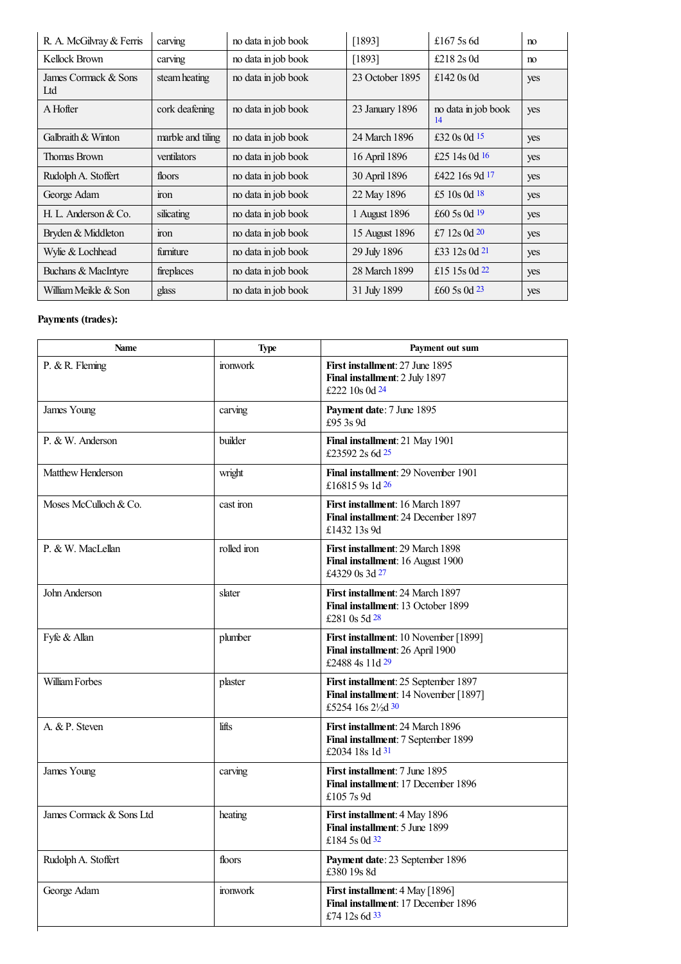<span id="page-13-3"></span><span id="page-13-2"></span><span id="page-13-1"></span><span id="page-13-0"></span>

| R. A. McGilvray & Ferris    | carving           | no data in job book | [1893]          | £167 5s 6d                | no  |
|-----------------------------|-------------------|---------------------|-----------------|---------------------------|-----|
| Kellock Brown               | carving           | no data in job book | [1893]          | £2182s 0d                 | no  |
| James Cormack & Sons<br>Ltd | steam heating     | no data in job book | 23 October 1895 | £142 $0s$ 0d              | yes |
| A Hofter                    | cork deafening    | no data in job book | 23 January 1896 | no data in job book<br>14 | yes |
| Galbraith & Winton          | marble and tiling | no data in job book | 24 March 1896   | £32 0s 0d 15              | yes |
| Thomas Brown                | ventilators       | no data in job book | 16 April 1896   | £25 14s 0d $16$           | yes |
| Rudolph A. Stoffert         | floors            | no data in job book | 30 April 1896   | £422 16s 9d $17$          | yes |
| George Adam                 | ron               | no data in job book | 22 May 1896     | £5 10s 0d $18$            | yes |
| H. L. Anderson & Co.        | silicating        | no data in job book | 1 August 1896   | £60 5s 0d $19$            | yes |
| Bryden & Middleton          | iron              | no data in job book | 15 August 1896  | £7 12s $0d20$             | yes |
| Wylie & Lochhead            | furniture         | no data in job book | 29 July 1896    | £33 12s 0d $21$           | yes |
| Buchans & MacIntyre         | fireplaces        | no data in job book | 28 March 1899   | £15 15 $\rm S$ 0d 22      | yes |
| William Meikle & Son        | glass             | no data in job book | 31 July 1899    | £60 5s 0d $23$            | yes |

<span id="page-13-19"></span><span id="page-13-18"></span><span id="page-13-17"></span><span id="page-13-16"></span><span id="page-13-15"></span><span id="page-13-14"></span><span id="page-13-13"></span><span id="page-13-12"></span><span id="page-13-11"></span><span id="page-13-10"></span><span id="page-13-9"></span><span id="page-13-8"></span><span id="page-13-7"></span><span id="page-13-6"></span><span id="page-13-5"></span><span id="page-13-4"></span>

| <b>Name</b>              | <b>Type</b>     | Payment out sum                                                                                            |
|--------------------------|-----------------|------------------------------------------------------------------------------------------------------------|
| P. & R. Fleming          | <i>ironwork</i> | <b>First installment: 27 June 1895</b><br>Final installment: 2 July 1897<br>£222 10s 0d $24$               |
| James Young              | carving         | Payment date: 7 June 1895<br>£95 3s 9d                                                                     |
| P. & W. Anderson         | builder         | Final installment: 21 May 1901<br>£23592 2s 6d 25                                                          |
| Matthew Henderson        | wright          | Final installment: 29 November 1901<br>£16815 9s 1d 26                                                     |
| Moses McCulloch & Co.    | cast iron       | First installment: 16 March 1897<br>Final installment: 24 December 1897<br>£1432 13s 9d                    |
| P. & W. MacLellan        | rolled iron     | <b>First installment: 29 March 1898</b><br>Final installment: 16 August 1900<br>£4329 0s 3d $27$           |
| John Anderson            | slater          | First installment: 24 March 1897<br>Final installment: 13 October 1899<br>£281 0s 5d 28                    |
| Fyfe & Allan             | plumber         | First installment: 10 November [1899]<br>Final installment: 26 April 1900<br>£2488 4s 11d 29               |
| William Forbes           | plaster         | <b>First installment:</b> 25 September 1897<br>Final installment: 14 November [1897]<br>£5254 16s 21/2d 30 |
| A. & P. Steven           | lifts           | <b>First installment: 24 March 1896</b><br>Final installment: 7 September 1899<br>£2034 18s 1d 31          |
| James Young              | carving         | <b>First installment:</b> 7 June 1895<br>Final installment: 17 December 1896<br>£1057s9d                   |
| James Cormack & Sons Ltd | heating         | First installment: 4 May 1896<br>Final installment: 5 June 1899<br>£184 5s 0d 32                           |
| Rudolph A. Stoffert      | floors          | Payment date: 23 September 1896<br>£380 19s 8d                                                             |
| George Adam              | <i>ironwork</i> | First installment: 4 May [1896]<br>Final installment: 17 December 1896<br>£74 12s 6d 33                    |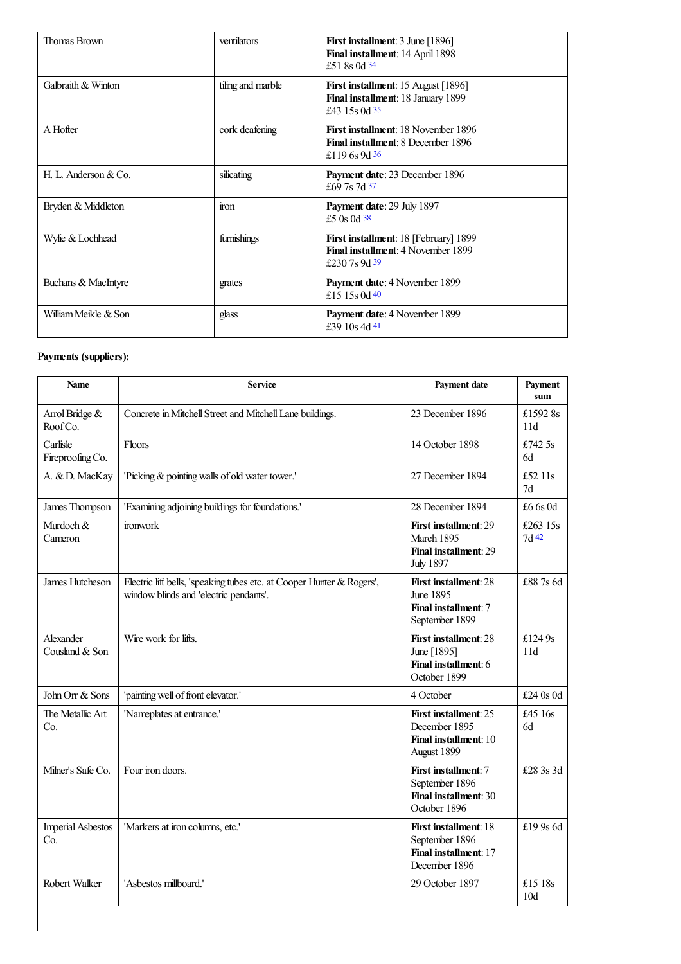<span id="page-14-3"></span><span id="page-14-2"></span><span id="page-14-1"></span><span id="page-14-0"></span>

| <b>Thomas Brown</b>  | ventilators       | First installment: 3 June [1896]<br>Final installment: 14 April 1898<br>£51 8s 0d 34                         |
|----------------------|-------------------|--------------------------------------------------------------------------------------------------------------|
| Galbraith & Winton   | tiling and marble | <b>First installment:</b> 15 August [1896]<br>Final installment: 18 January 1899<br>£43 15s 0d $35$          |
| A Hofter             | cork deafening    | <b>First installment:</b> 18 November 1896<br><b>Final installment: 8 December 1896</b><br>£119 6s 9d 36     |
| H. L. Anderson & Co. | silicating        | Payment date: 23 December 1896<br>£69 7s 7d 37                                                               |
| Bryden & Middleton   | iron              | Payment date: 29 July 1897<br>£5 0s 0d $38$                                                                  |
| Wylie & Lochhead     | furnishings       | <b>First installment:</b> 18 [February] 1899<br><b>Final installment: 4 November 1899</b><br>£230.7s 9d $39$ |
| Buchans & MacIntyre  | grates            | Payment date: 4 November 1899<br>£15 15 s 0d $40$                                                            |
| William Meikle & Son | glass             | <b>Payment date: 4 November 1899</b><br>£39 10s 4d 4l                                                        |

<span id="page-14-8"></span><span id="page-14-7"></span><span id="page-14-6"></span><span id="page-14-5"></span><span id="page-14-4"></span>

| <b>Name</b>                     | <b>Service</b>                                                                                                  | <b>Payment date</b>                                                                           | Payment<br>sum             |
|---------------------------------|-----------------------------------------------------------------------------------------------------------------|-----------------------------------------------------------------------------------------------|----------------------------|
| Arrol Bridge &<br>Roof Co.      | Concrete in Mitchell Street and Mitchell Lane buildings.                                                        | 23 December 1896                                                                              | £1592 8s<br>11d            |
| Carlisle<br>Fireproofing Co.    | <b>Floors</b>                                                                                                   | 14 October 1898                                                                               | £742 5s<br>6d              |
| A. & D. MacKay                  | 'Picking & pointing walls of old water tower.'                                                                  | 27 December 1894                                                                              | £52 $11s$<br>7d            |
| James Thompson                  | 'Examining adjoining buildings for foundations.'                                                                | 28 December 1894                                                                              | £6 6s 0d                   |
| Murdoch &<br>Cameron            | ironwork                                                                                                        | First installment: 29<br>March 1895<br>Final installment: 29<br><b>July 1897</b>              | £263 $15s$<br>7d 42        |
| James Hutcheson                 | Electric lift bells, 'speaking tubes etc. at Cooper Hunter & Rogers',<br>window blinds and 'electric pendants'. | First installment: 28<br>June 1895<br>Final installment: 7<br>September 1899                  | £88.7s 6d                  |
| Alexander<br>Cousland & Son     | Wire work for lifts.                                                                                            | First installment: 28<br>June [1895]<br>Final installment: 6<br>October 1899                  | £124 $9s$<br>11d           |
| John Orr & Sons                 | 'painting well of front elevator.'                                                                              | 4 October                                                                                     | £24 0s 0d                  |
| The Metallic Art<br>Co.         | 'Nameplates at entrance.'                                                                                       | <b>First installment: 25</b><br>December 1895<br><b>Final installment: 10</b><br>August 1899  | £45 16s<br>6d              |
| Milner's Safe Co.               | Four iron doors.                                                                                                | <b>First installment: 7</b><br>September 1896<br><b>Final installment: 30</b><br>October 1896 | £28 3s 3d                  |
| <b>Imperial Asbestos</b><br>Co. | 'Markers at iron columns, etc.'                                                                                 | <b>First installment: 18</b><br>September 1896<br>Final installment: 17<br>December 1896      | £19 9s 6d                  |
| Robert Walker                   | 'Asbestos millboard.'                                                                                           | 29 October 1897                                                                               | £15 18s<br>10 <sub>d</sub> |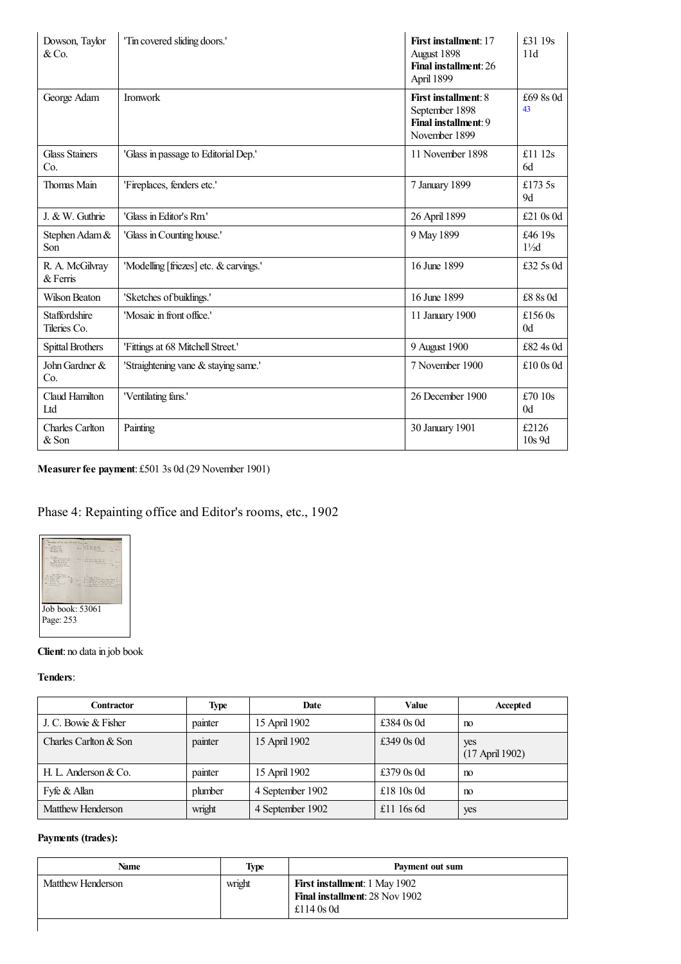<span id="page-15-0"></span>

| Dowson, Taylor<br>& Co.              | 'Tin covered sliding doors.'           | <b>First installment: 17</b><br>August 1898<br>Final installment: 26<br>April 1899     | £31 19s<br>11d             |
|--------------------------------------|----------------------------------------|----------------------------------------------------------------------------------------|----------------------------|
| George Adam                          | <b>Ironwork</b>                        | <b>First installment: 8</b><br>September 1898<br>Final installment: 9<br>November 1899 | £69 8s 0d<br>43            |
| <b>Glass Stainers</b><br>Co.         | 'Glass in passage to Editorial Dep.'   | 11 November 1898                                                                       | £11 $12s$<br>6d            |
| Thomas Main                          | 'Fireplaces, fenders etc.'             | 7 January 1899                                                                         | £173.5s<br>9d              |
| J. & W. Guthrie                      | 'Glass in Editor's Rm'                 | 26 April 1899                                                                          | £21 $0s$ 0d                |
| Stephen Adam &<br>Son                | 'Glass in Counting house.'             | 9 May 1899                                                                             | £46 19s<br>$1\frac{1}{2}d$ |
| R. A. McGilvray<br>$&$ Ferris        | 'Modelling [friezes] etc. & carvings.' | 16 June 1899                                                                           | £32 5s 0d                  |
| Wilson Beaton                        | 'Sketches of buildings.'               | 16 June 1899                                                                           | £8 8s 0d                   |
| <b>Staffordshire</b><br>Tileries Co. | 'Mosaic in front office.'              | 11 January 1900                                                                        | £156 $0s$<br>0d            |
| <b>Spittal Brothers</b>              | 'Fittings at 68 Mitchell Street.'      | 9 August 1900                                                                          | £82 4s 0d                  |
| John Gardner &<br>Co.                | 'Straightening vane & staying same.'   | 7 November 1900                                                                        | £10 $0s$                   |
| Claud Hamilton<br>Ltd                | 'Ventilating fans.'                    | 26 December 1900                                                                       | £70 $10s$<br>0d            |
| <b>Charles Carlton</b><br>& Son      | Painting                               | 30 January 1901                                                                        | £2126<br>$10s$ 9d          |

**Measurerfee payment**: £501 3s 0d (29 November 1901)

## Phase 4: Repainting office and Editor's rooms, etc., 1902



### **Client**: no data in job book

**Tenders**:

| Contractor            | <b>Type</b> | Date             | Value        | Accepted                 |
|-----------------------|-------------|------------------|--------------|--------------------------|
| J. C. Bowie & Fisher  | painter     | 15 April 1902    | £384 $0s$ 0d | no                       |
| Charles Carlton & Son | painter     | 15 April 1902    | £349 $0s$ 0d | yes<br>$(17$ April 1902) |
| H. L. Anderson & Co.  | painter     | 15 April 1902    | £379 $0s$ 0d | no                       |
| Fyfe & Allan          | plumber     | 4 September 1902 | £18 $10s$ 0d | n <sub>0</sub>           |
| Matthew Henderson     | wright      | 4 September 1902 | £11 $16s$ 6d | yes                      |

| Name              | <b>Type</b> | Payment out sum                                                                        |
|-------------------|-------------|----------------------------------------------------------------------------------------|
| Matthew Henderson | wright      | <b>First installment:</b> 1 May 1902<br>Final installment: 28 Nov 1902<br>£114 $0s$ 0d |
|                   |             |                                                                                        |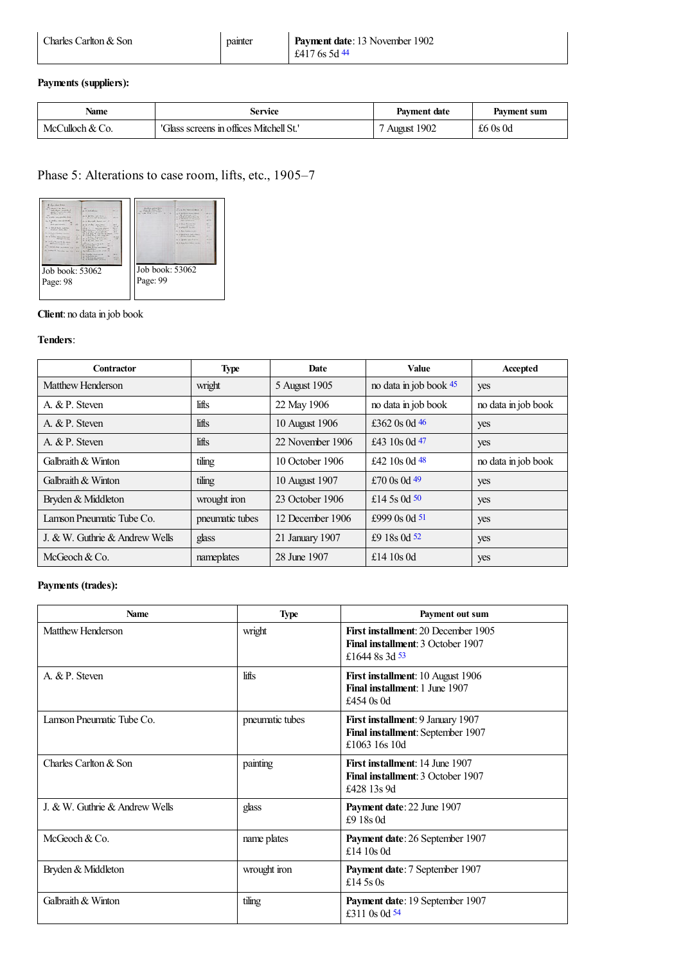<span id="page-16-0"></span>

| Charles Carlton & Son | painter | <b>Payment date:</b> 13 November 1902 |
|-----------------------|---------|---------------------------------------|
|                       |         | £4176s5d44                            |

| Name            | Service                                 | <b>Payment date</b> | Payment sum |
|-----------------|-----------------------------------------|---------------------|-------------|
| McCulloch & Co. | 'Glass screens in offices Mitchell St.' | 1902<br>August      | £6 $0s$ 0d  |

## Phase 5: Alterations to case room, lifts, etc., 1905–7



### **Client**: no data in job book

#### **Tenders**:

<span id="page-16-5"></span><span id="page-16-4"></span><span id="page-16-3"></span><span id="page-16-2"></span><span id="page-16-1"></span>

| <b>Contractor</b>              | <b>Type</b>     | <b>Date</b>      | Value                  | Accepted            |
|--------------------------------|-----------------|------------------|------------------------|---------------------|
| Matthew Henderson              | wright          | 5 August 1905    | no data in job book 45 | yes                 |
| A. & P. Steven                 | lifts           | 22 May 1906      | no data in job book    | no data in job book |
| A. & P. Steven                 | lifts           | 10 August 1906   | £362 0s 0d $46$        | yes                 |
| A. & P. Steven                 | lifts           | 22 November 1906 | £43 10s 0d $47$        | yes                 |
| Galbraith & Winton             | tiling          | 10 October 1906  | £42 10s 0d $48$        | no data in job book |
| Galbraith & Winton             | tiling          | 10 August 1907   | £70 $0s$ 0d 49         | yes                 |
| Bryden & Middleton             | wrought iron    | 23 October 1906  | £14.5s 0d $50$         | yes                 |
| Lamson Pneumatic Tube Co.      | pneumatic tubes | 12 December 1906 | £999 $0s$ 0d 51        | yes                 |
| J. & W. Guthrie & Andrew Wells | glass           | 21 January 1907  | £9 18s 0d 52           | yes                 |
| McGeoch $& Co.$                | nameplates      | 28 June 1907     | £14 $10s$ 0d           | yes                 |

<span id="page-16-10"></span><span id="page-16-9"></span><span id="page-16-8"></span><span id="page-16-7"></span><span id="page-16-6"></span>

| <b>Name</b>                    | <b>Type</b>     | Payment out sum                                                                                   |
|--------------------------------|-----------------|---------------------------------------------------------------------------------------------------|
| Matthew Henderson              | wright          | First installment: 20 December 1905<br><b>Final installment: 3 October 1907</b><br>£1644 8s 3d 53 |
| A. & P. Steven                 | lifts           | <b>First installment:</b> 10 August 1906<br>Final installment: 1 June 1907<br>£454 $0s$ 0d        |
| Lamson Pneumatic Tube Co.      | pneumatic tubes | First installment: 9 January 1907<br>Final installment: September 1907<br>£1063 16s 10d           |
| Charles Carlton & Son          | painting        | <b>First installment: 14 June 1907</b><br>Final installment: 3 October 1907<br>£428 13s 9d        |
| J. & W. Guthrie & Andrew Wells | glass           | Payment date: 22 June 1907<br>£9 18s 0d                                                           |
| McGeoch & Co.                  | name plates     | <b>Payment date: 26 September 1907</b><br>£14 $10s$ 0d                                            |
| Bryden & Middleton             | wrought iron    | <b>Payment date:</b> 7 September 1907<br>£14 5s 0s                                                |
| Galbraith & Winton             | tiling          | Payment date: 19 September 1907<br>£311 0s 0d 54                                                  |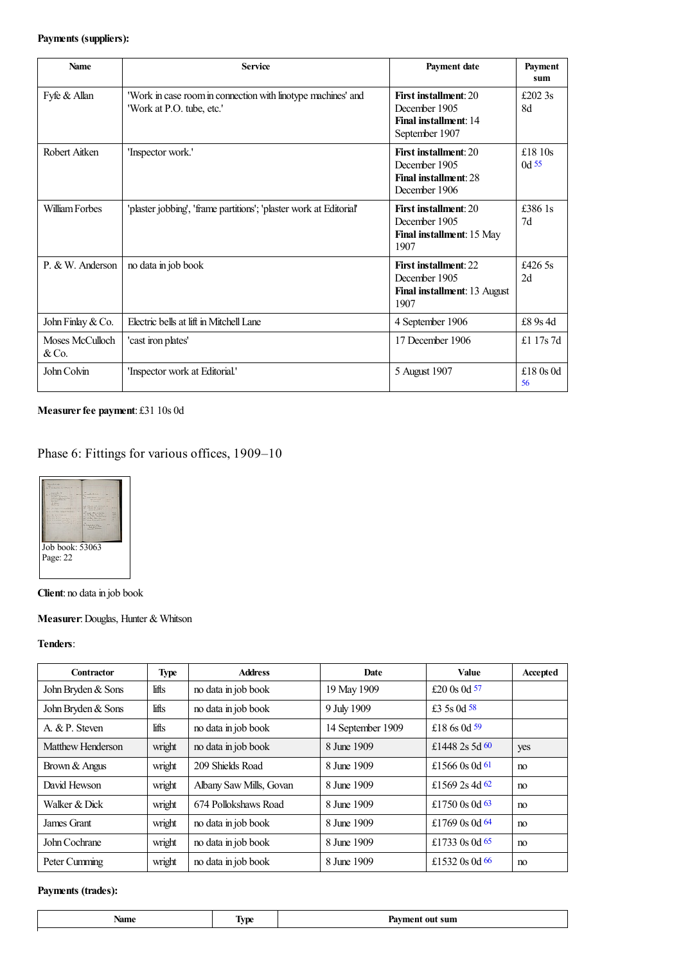<span id="page-17-0"></span>

| <b>Name</b>             | <b>Service</b>                                                                            | Payment date                                                                             | Payment<br>sum       |
|-------------------------|-------------------------------------------------------------------------------------------|------------------------------------------------------------------------------------------|----------------------|
| Fyfe & Allan            | 'Work in case room in connection with linotype machines' and<br>'Work at P.O. tube, etc.' | <b>First installment: 20</b><br>December 1905<br>Final installment: 14<br>September 1907 | £202 $3s$<br>8d      |
| Robert Aitken           | 'Inspector work.'                                                                         | <b>First installment: 20</b><br>December 1905<br>Final installment: 28<br>December 1906  | £18 $10s$<br>$0d$ 55 |
| William Forbes          | 'plaster jobbing', 'frame partitions'; 'plaster work at Editorial'                        | <b>First installment: 20</b><br>December 1905<br>Final installment: 15 May<br>1907       | £386 1s<br>7d        |
| P. & W. Anderson        | no data in job book                                                                       | <b>First installment: 22</b><br>December 1905<br>Final installment: 13 August<br>1907    | £426.5s<br>2d        |
| John Finlay & Co.       | Electric bells at lift in Mitchell Lane                                                   | 4 September 1906                                                                         | £8 9s 4d             |
| Moses McCulloch<br>&Co. | 'cast iron plates'                                                                        | 17 December 1906                                                                         | £1 17s 7d            |
| John Colvin             | 'Inspector work at Editorial.'                                                            | 5 August 1907                                                                            | £18 $0s$ 0d<br>56    |

<span id="page-17-1"></span>**Measurerfee payment**: £31 10s 0d

## Phase 6: Fittings for various offices, 1909–10



**Client**: no data in job book

## **Measurer**:Douglas, Hunter & Whitson

#### **Tenders**:

<span id="page-17-7"></span><span id="page-17-6"></span><span id="page-17-5"></span><span id="page-17-4"></span><span id="page-17-3"></span><span id="page-17-2"></span>

| Contractor         | <b>Type</b> | <b>Address</b>          | Date              | Value            | Accepted |
|--------------------|-------------|-------------------------|-------------------|------------------|----------|
| John Bryden & Sons | lifts       | no data in job book     | 19 May 1909       | £20 0s 0d $57$   |          |
| John Bryden & Sons | lifts       | no data in job book     | 9 July 1909       | £3 5s 0d $58$    |          |
| A. & P. Steven     | lifts       | no data in job book     | 14 September 1909 | £18 6s 0d $59$   |          |
| Matthew Henderson  | wright      | no data in job book     | 8 June 1909       | £1448 2s 5d $60$ | yes      |
| Brown & Angus      | wright      | 209 Shields Road        | 8 June 1909       | £1566 0s 0d 61   | no       |
| David Hewson       | wright      | Albany Saw Mills, Govan | 8 June 1909       | £1569 2s 4d $62$ | no       |
| Walker & Dick      | wright      | 674 Pollokshaws Road    | 8 June 1909       | £1750 $0s$ 0d 63 | no       |
| James Grant        | wright      | no data in job book     | 8 June 1909       | £1769 0s 0d $64$ | no       |
| John Cochrane      | wright      | no data in job book     | 8 June 1909       | £1733 0s 0d 65   | no       |
| Peter Cumming      | wright      | no data in job book     | 8 June 1909       | £1532 0s 0d $66$ | no       |

<span id="page-17-11"></span><span id="page-17-10"></span><span id="page-17-9"></span><span id="page-17-8"></span>

| Name<br>$    -$ | –<br>$\ddot{\phantom{0}}$ | sum<br>,,<br>. |
|-----------------|---------------------------|----------------|
|                 |                           |                |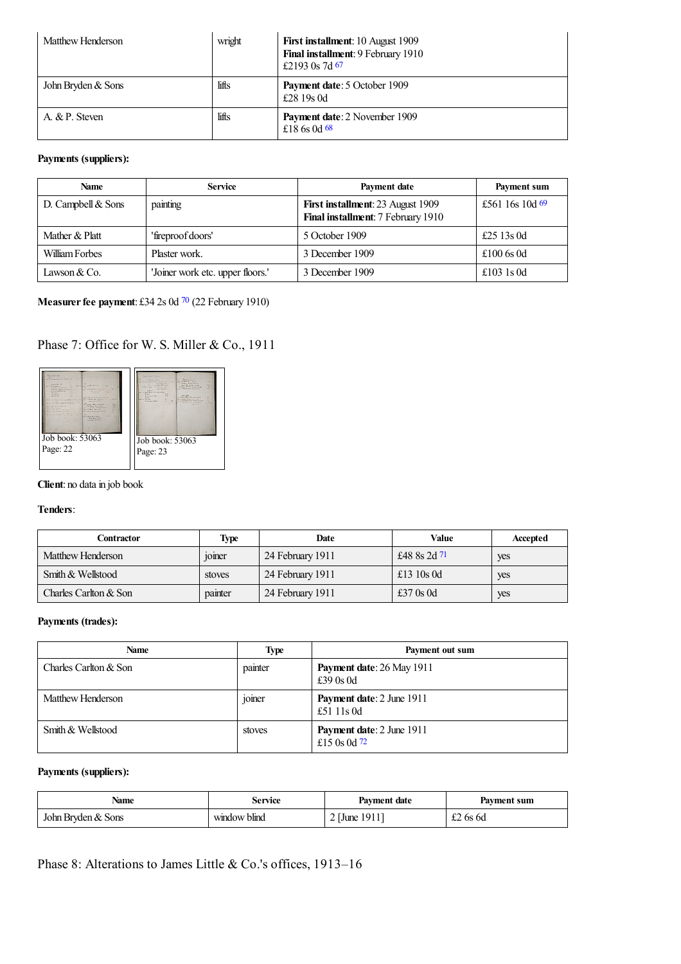<span id="page-18-0"></span>

| Matthew Henderson  | wright | First installment: 10 August 1909<br>Final installment: 9 February 1910<br>£2193 0s 7d 67 |
|--------------------|--------|-------------------------------------------------------------------------------------------|
| John Bryden & Sons | lifts  | <b>Payment date: 5 October 1909</b><br>£28 19s 0d                                         |
| A. & P. Steven     | lifts  | Payment date: 2 November 1909<br>£18 6s 0d 68                                             |

<span id="page-18-2"></span><span id="page-18-1"></span>

| <b>Name</b>          | <b>Service</b>                   | Payment date                                                            | Payment sum       |
|----------------------|----------------------------------|-------------------------------------------------------------------------|-------------------|
| D. Campbell $&$ Sons | painting                         | First installment: 23 August 1909<br>Final installment: 7 February 1910 | £561 16s 10d $69$ |
| Mather & Platt       | 'fireproof doors'                | 5 October 1909                                                          | £25 13s 0d        |
| William Forbes       | Plaster work.                    | 3 December 1909                                                         | £100 $6s$ 0d      |
| Lawson $& Co.$       | 'Joiner work etc. upper floors.' | 3 December 1909                                                         | £103 $1s$ 0d      |

## <span id="page-18-3"></span>**Measurer fee payment**: £34 2s 0d <sup>[70](#page-26-22)</sup> (22 February 1910)

## Phase 7: Office for W. S. Miller & Co., 1911



### **Client**: no data in job book

#### **Tenders**:

<span id="page-18-4"></span>

| Contractor            | <b>Type</b>                          | Date             | Value        | Accepted |
|-----------------------|--------------------------------------|------------------|--------------|----------|
| Matthew Henderson     | $\cdot$ $\cdot$<br><sub>10</sub> mer | 24 February 1911 | £48 8s 2d 71 | yes      |
| Smith & Wellstood     | stoves                               | 24 February 1911 | £13 $10s$ 0d | yes      |
| Charles Carlton & Son | painter                              | 24 February 1911 | £37 $0s$ 0d  | yes      |

### **Payments (trades):**

| <b>Name</b>           | Type                                 | Payment out sum                                    |
|-----------------------|--------------------------------------|----------------------------------------------------|
| Charles Carlton & Son | painter                              | Payment date: 26 May 1911<br>£39 $0s$ 0d           |
| Matthew Henderson     | $\cdot$ $\cdot$<br><sub>10</sub> mer | <b>Payment date: 2 June 1911</b><br>£51 11s 0d     |
| Smith & Wellstood     | stoves                               | <b>Payment date: 2 June 1911</b><br>£15 0s 0d $72$ |

## <span id="page-18-5"></span>**Payments (suppliers):**

| Name               | Service                       | <b>Payment date</b> | Payment sum   |
|--------------------|-------------------------------|---------------------|---------------|
| John Bryden & Sons | $\rightarrow$<br>window blind | -1911'<br>1 June    | $\pm 2$ 6s 6d |

Phase 8: Alterations to James Little & Co.'s offices, 1913–16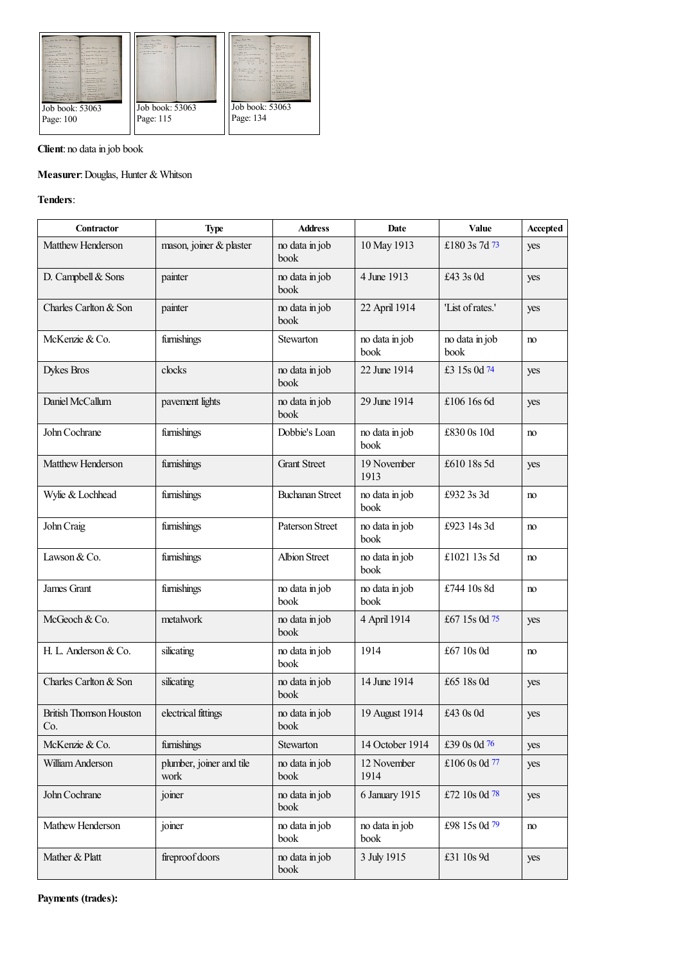

## **Client**: no data in job book

## **Measurer**:Douglas, Hunter & Whitson

### **Tenders**:

<span id="page-19-6"></span><span id="page-19-5"></span><span id="page-19-4"></span><span id="page-19-3"></span><span id="page-19-2"></span><span id="page-19-1"></span><span id="page-19-0"></span>

| <b>Contractor</b>                     | <b>Type</b>                      | <b>Address</b>         | Date                   | Value                  | Accepted |
|---------------------------------------|----------------------------------|------------------------|------------------------|------------------------|----------|
| Matthew Henderson                     | mason, joiner & plaster          | no data in job<br>book | 10 May 1913            | £180 3s 7d 73          | yes      |
| D. Campbell & Sons                    | painter                          | no data in job<br>book | 4 June 1913            | £43 3s 0d              | yes      |
| Charles Carlton & Son                 | painter                          | no data in job<br>book | 22 April 1914          | 'List of rates.'       | yes      |
| McKenzie & Co.                        | furnishings                      | Stewarton              | no data in job<br>book | no data in job<br>book | no       |
| <b>Dykes Bros</b>                     | clocks                           | no data in job<br>book | 22 June 1914           | £3 15s 0d 74           | yes      |
| Daniel McCallum                       | pavement lights                  | no data in job<br>book | 29 June 1914           | £106 16s 6d            | yes      |
| John Cochrane                         | furnishings                      | Dobbie's Loan          | no data in job<br>book | £830 0s 10d            | no       |
| Matthew Henderson                     | furnishings                      | <b>Grant Street</b>    | 19 November<br>1913    | £610 18s 5d            | yes      |
| Wylie & Lochhead                      | furnishings                      | <b>Buchanan Street</b> | no data in job<br>book | £932 3s 3d             | no       |
| John Craig                            | furnishings                      | <b>Paterson Street</b> | no data in job<br>book | £923 14s 3d            | no       |
| Lawson & Co.                          | furnishings                      | <b>Albion Street</b>   | no data in job<br>book | £1021 13s 5d           | no       |
| James Grant                           | furnishings                      | no data in job<br>book | no data in job<br>book | £744 10s 8d            | no       |
| McGeoch & Co.                         | metalwork                        | no data in job<br>book | 4 April 1914           | £67 15s 0d 75          | yes      |
| H. L. Anderson & Co.                  | silicating                       | no data in job<br>book | 1914                   | £67 10s 0d             | no       |
| Charles Carlton & Son                 | silicating                       | no data in job<br>book | 14 June 1914           | £65 18s 0d             | yes      |
| <b>British Thomson Houston</b><br>Co. | electrical fittings              | no data in job<br>book | 19 August 1914         | £43 0s 0d              | yes      |
| McKenzie & Co.                        | furnishings                      | Stewarton              | 14 October 1914        | £39 0s 0d 76           | yes      |
| William Anderson                      | plumber, joiner and tile<br>work | no data in job<br>book | 12 November<br>1914    | £106 0s 0d 77          | yes      |
| John Cochrane                         | joiner                           | no data in job<br>book | 6 January 1915         | £72 10s 0d 78          | yes      |
| Mathew Henderson                      | joiner                           | no data in job<br>book | no data in job<br>book | £98 15s 0d 79          | no       |
| Mather & Platt                        | fireproof doors                  | no data in job<br>book | 3 July 1915            | £31 10s 9d             | yes      |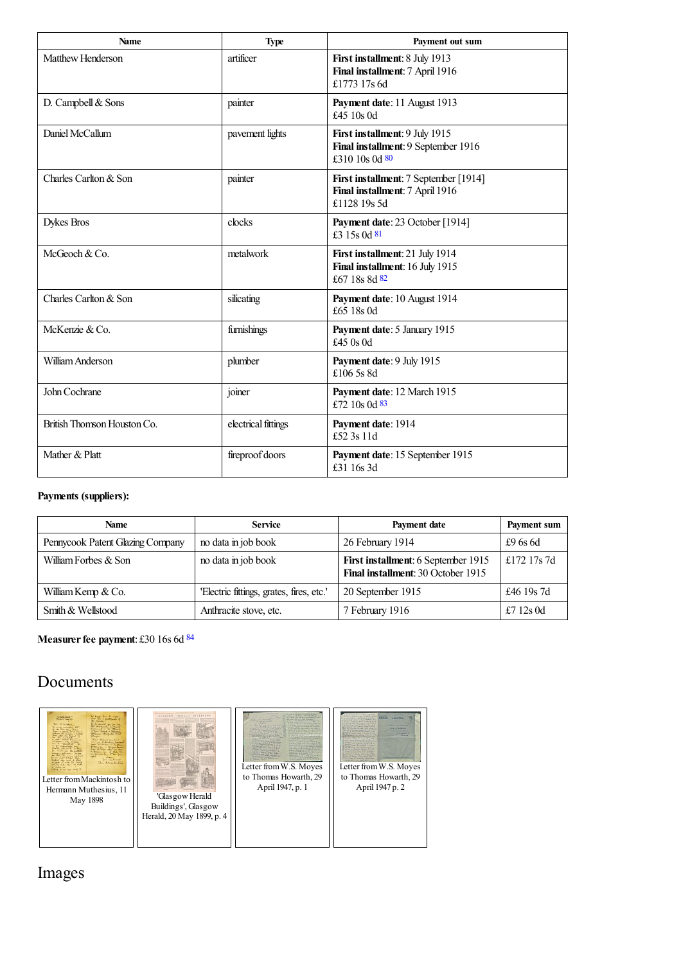<span id="page-20-2"></span><span id="page-20-1"></span><span id="page-20-0"></span>

| <b>Name</b>                 | <b>Type</b>         | Payment out sum                                                                          |
|-----------------------------|---------------------|------------------------------------------------------------------------------------------|
| Matthew Henderson           | artificer           | First installment: 8 July 1913<br>Final installment: 7 April 1916<br>£1773 17s 6d        |
| D. Campbell & Sons          | painter             | Payment date: 11 August 1913<br>£45 10s 0d                                               |
| Daniel McCallum             | pavement lights     | First installment: 9 July 1915<br>Final installment: 9 September 1916<br>£310 10s 0d 80  |
| Charles Carlton & Son       | painter             | First installment: 7 September [1914]<br>Final installment: 7 April 1916<br>£1128 19s 5d |
| <b>Dykes Bros</b>           | clocks              | Payment date: 23 October [1914]<br>£3 15s 0d 81                                          |
| McGeoch & Co.               | metalwork           | First installment: 21 July 1914<br>Final installment: 16 July 1915<br>£67 18s 8d 82      |
| Charles Carlton & Son       | silicating          | Payment date: 10 August 1914<br>£65 18s 0d                                               |
| McKenzie & Co.              | furnishings         | Payment date: 5 January 1915<br>£45 0s 0d                                                |
| William Anderson            | plumber             | Payment date: 9 July 1915<br>£106 5s 8d                                                  |
| John Cochrane               | joiner              | Payment date: 12 March 1915<br>£72 10s 0d 83                                             |
| British Thomson Houston Co. | electrical fittings | Payment date: 1914<br>£52 3s 11d                                                         |
| Mather & Platt              | fireproof doors     | Payment date: 15 September 1915<br>£31 16s 3d                                            |

| <b>Name</b>                      | <b>Service</b>                           | Payment date                                                                     | <b>Payment sum</b> |
|----------------------------------|------------------------------------------|----------------------------------------------------------------------------------|--------------------|
| Pennycook Patent Glazing Company | no data in job book                      | 26 February 1914                                                                 | $\pounds96s6d$     |
| William Forbes & Son             | no data in job book                      | First installment: 6 September 1915<br><b>Final installment: 30 October 1915</b> | £172 17s 7d        |
| William Kemp & Co.               | 'Electric fittings, grates, fires, etc.' | 20 September 1915                                                                | £46 19s 7d         |
| Smith & Wellstood                | Anthracite stove, etc.                   | 7 February 1916                                                                  | £7 12s 0d          |

**Measurer fee payment:** £30 16s 6d <sup>[84](#page-27-1)</sup>

## Documents



<span id="page-20-4"></span>

'GlasgowHerald Buildings', Glasgow Herald, 20May 1899, p. 4



<span id="page-20-3"></span>

Images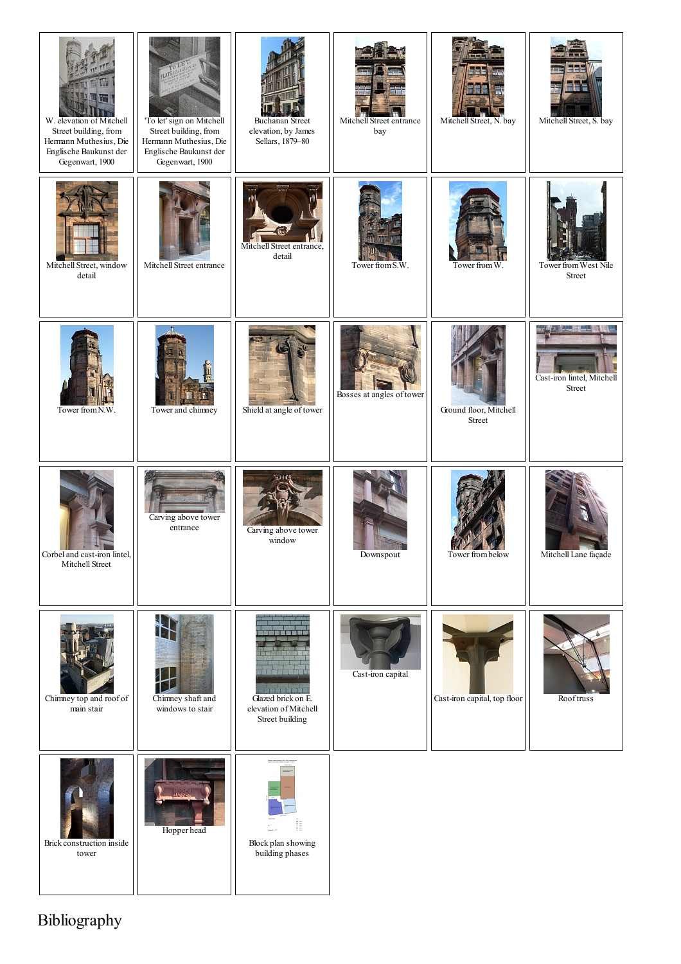| W. elevation of Mitchell<br>Street building, from<br>Hermann Muthesius, Die<br>Englische Baukunst der<br>Gegenwart, 1900 | 'To let' sign on Mitchell<br>Street building, from<br>Hermann Muthesius, Die<br>Englische Baukunst der<br>Gegenwart, 1900 | <b>Buchanan Street</b><br>elevation, by James<br>Sellars, 1879-80            | Mitchell Street entrance<br>bay | Mitchell Street, N. bay          | Mitchell Street, S. bay              |
|--------------------------------------------------------------------------------------------------------------------------|---------------------------------------------------------------------------------------------------------------------------|------------------------------------------------------------------------------|---------------------------------|----------------------------------|--------------------------------------|
| Mitchell Street, window<br>detail                                                                                        | Mitchell Street entrance                                                                                                  | Mitchell Street entrance,<br>detail                                          | Tower from S.W.                 | Tower from W.                    | Tower from West Nile<br>Street       |
| Tower from N.W.                                                                                                          | Tower and chimney                                                                                                         | Shield at angle of tower                                                     | Bosses at angles of tower       | Ground floor, Mitchell<br>Street | Cast-iron lintel, Mitchell<br>Street |
| Corbel and cast-iron lintel,<br>Mitchell Street                                                                          | Carving above tower<br>entrance                                                                                           | Carving above tower<br>window                                                | Downspout                       | Tower from below                 | Mitchell Lane façade                 |
| Chimney top and roof of<br>main stair                                                                                    | Chimney shaft and<br>windows to stair                                                                                     | 明瞭 政権関数 峰川<br>Glazed brick on E.<br>elevation of Mitchell<br>Street building | Cast-iron capital               | Cast-iron capital, top floor     | Rooftruss                            |
| Brick construction inside<br>tower                                                                                       | Hopper head                                                                                                               | ĮΞ<br>Block plan showing<br>building phases                                  |                                 |                                  |                                      |

Bibliography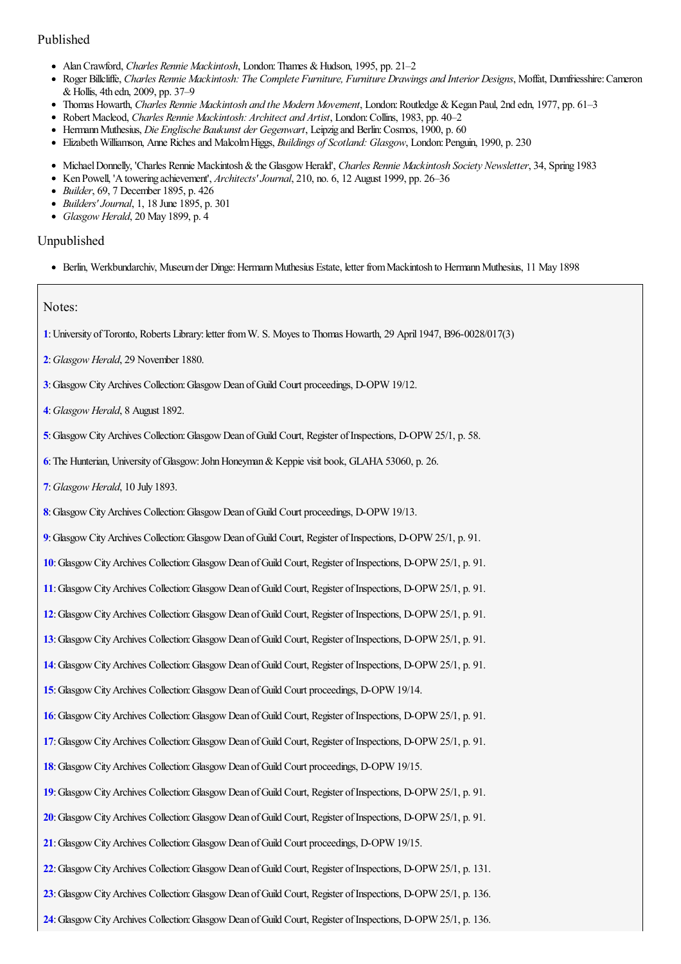## Published

- AlanCrawford, *Charles Rennie Mackintosh*, London:Thames &Hudson, 1995, pp. 21–2
- Roger Billcliffe, *Charles Rennie Mackintosh: The Complete Furniture, Furniture Drawings and Interior Designs*, Moffat, Dumfriesshire:Cameron &Hollis, 4th edn, 2009, pp. 37–9
- Thomas Howarth, *Charles Rennie Mackintosh and the Modern Movement*, London:Routledge &Kegan Paul, 2nd edn, 1977, pp. 61–3
- Robert Macleod, *Charles Rennie Mackintosh: Architect and Artist*, London:Collins, 1983, pp. 40–2
- HermannMuthesius, *Die Englische Baukunst der Gegenwart*, Leipzig and Berlin:Cosmos, 1900, p. 60
- ElizabethWilliamson, Anne Richesand MalcolmHiggs, *Buildings of Scotland: Glasgow*, London:Penguin, 1990, p. 230
- MichaelDonnelly, 'Charles Rennie Mackintosh&the GlasgowHerald', *Charles Rennie Mackintosh Society Newsletter*, 34, Spring 1983
- Ken Powell, 'Atowering achievement', *Architects'Journal*, 210, no. 6, 12 August 1999, pp. 26–36
- *Builder*, 69, 7 December 1895, p. 426
- *Builders'Journal*, 1, 18 June 1895, p. 301
- *Glasgow Herald*, 20 May 1899, p. 4

#### Unpublished

Berlin, Werkbundarchiv, Museumder Dinge:HermannMuthesius Estate, letter fromMackintosh to HermannMuthesius, 11 May 1898

#### Notes:

- <span id="page-22-0"></span>**[1](#page-0-0)**:University ofToronto, Roberts Library:letter fromW. S. Moyes to Thomas Howarth, 29 April 1947, B96-0028/017(3)
- <span id="page-22-1"></span>**[2](#page-0-1)**:*Glasgow Herald*, 29 November 1880.
- <span id="page-22-2"></span>**[3](#page-0-2)**:GlasgowCityArchives Collection:GlasgowDean ofGuild Court proceedings, D-OPW 19/12.
- <span id="page-22-3"></span>**[4](#page-0-3)**:*Glasgow Herald*, 8 August 1892.
- <span id="page-22-4"></span>**[5](#page-0-4)**:GlasgowCityArchives Collection:GlasgowDean ofGuild Court, Register ofInspections, D-OPW 25/1, p. 58.
- <span id="page-22-5"></span>**[6](#page-0-5)**:The Hunterian, University ofGlasgow:JohnHoneyman&Keppie visit book, GLAHA53060, p. 26.
- <span id="page-22-6"></span>**[7](#page-0-6)**:*Glasgow Herald*, 10 July 1893.
- <span id="page-22-7"></span>[8](#page-0-7): Glasgow City Archives Collection: Glasgow Dean of Guild Court proceedings, D-OPW 19/13.
- <span id="page-22-8"></span>[9](#page-0-8): Glasgow City Archives Collection: Glasgow Dean of Guild Court, Register of Inspections, D-OPW 25/1, p. 91.
- <span id="page-22-9"></span>**[10](#page-0-9)**:GlasgowCityArchives Collection:GlasgowDean ofGuild Court, Register ofInspections, D-OPW 25/1, p. 91.
- <span id="page-22-10"></span>**[11](#page-1-0)**:GlasgowCityArchives Collection:GlasgowDean ofGuild Court, Register ofInspections, D-OPW 25/1, p. 91.
- <span id="page-22-11"></span>**[12](#page-1-1)**:GlasgowCityArchives Collection:GlasgowDean ofGuild Court, Register ofInspections, D-OPW 25/1, p. 91.
- <span id="page-22-12"></span>**[13](#page-1-2)**:GlasgowCityArchives Collection:GlasgowDean ofGuild Court, Register ofInspections, D-OPW 25/1, p. 91.
- <span id="page-22-13"></span>**[14](#page-1-3)**:GlasgowCityArchives Collection:GlasgowDean ofGuild Court, Register ofInspections, D-OPW 25/1, p. 91.
- <span id="page-22-14"></span>**[15](#page-1-4)**:GlasgowCityArchives Collection:GlasgowDean ofGuild Court proceedings, D-OPW 19/14.
- <span id="page-22-15"></span>**[16](#page-1-5)**:GlasgowCityArchives Collection:GlasgowDean ofGuild Court, Register ofInspections, D-OPW 25/1, p. 91.
- <span id="page-22-16"></span>**[17](#page-1-6)**:GlasgowCityArchives Collection:GlasgowDean ofGuild Court, Register ofInspections, D-OPW 25/1, p. 91.
- <span id="page-22-17"></span>**[18](#page-1-7)**:GlasgowCityArchives Collection:GlasgowDean ofGuild Court proceedings, D-OPW 19/15.
- <span id="page-22-18"></span>**[19](#page-1-8)**:GlasgowCityArchives Collection:GlasgowDean ofGuild Court, Register ofInspections, D-OPW 25/1, p. 91.
- <span id="page-22-19"></span>**[20](#page-1-9)**:GlasgowCityArchives Collection:GlasgowDean ofGuild Court, Register ofInspections, D-OPW 25/1, p. 91.
- <span id="page-22-20"></span>[21](#page-1-10): Glasgow City Archives Collection: Glasgow Dean of Guild Court proceedings, D-OPW 19/15.
- <span id="page-22-21"></span>**[22](#page-1-11)**:GlasgowCityArchives Collection:GlasgowDean ofGuild Court, Register ofInspections, D-OPW 25/1, p. 131.
- <span id="page-22-22"></span>[23](#page-1-12): Glasgow City Archives Collection: Glasgow Dean of Guild Court, Register of Inspections, D-OPW 25/1, p. 136.
- <span id="page-22-23"></span>[24](#page-1-13): Glasgow City Archives Collection: Glasgow Dean of Guild Court, Register of Inspections, D-OPW 25/1, p. 136.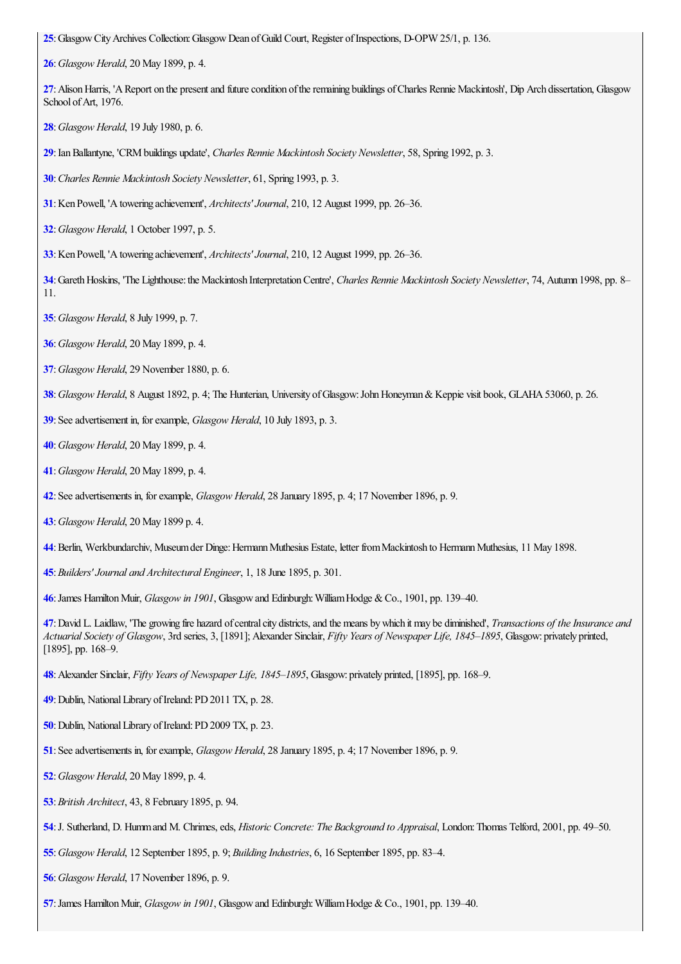<span id="page-23-0"></span>: Glasgow City Archives Collection: Glasgow Dean of Guild Court, Register of Inspections, D-OPW 25/1, p. 136.

<span id="page-23-1"></span>:*Glasgow Herald*, 20 May 1899, p. 4.

<span id="page-23-2"></span>: Alison Harris, 'A Report on the present and future condition of the remaining buildings of Charles Rennie Mackintosh', Dip Arch dissertation, Glasgow School of Art, 1976.

<span id="page-23-3"></span>:*Glasgow Herald*, 19 July 1980, p. 6.

<span id="page-23-4"></span>:IanBallantyne, 'CRMbuildings update', *Charles Rennie Mackintosh Society Newsletter*, 58, Spring 1992, p. 3.

<span id="page-23-5"></span>:*Charles Rennie Mackintosh Society Newsletter*, 61, Spring 1993, p. 3.

<span id="page-23-6"></span>:Ken Powell, 'Atowering achievement', *Architects'Journal*, 210, 12 August 1999, pp. 26–36.

<span id="page-23-7"></span>:*Glasgow Herald*, 1 October 1997, p. 5.

<span id="page-23-8"></span>:Ken Powell, 'Atowering achievement', *Architects'Journal*, 210, 12 August 1999, pp. 26–36.

<span id="page-23-9"></span>:GarethHoskins, 'The Lighthouse:the Mackintosh InterpretationCentre', *Charles Rennie Mackintosh Society Newsletter*, 74, Autumn 1998, pp. 8– 11.

<span id="page-23-10"></span>:*Glasgow Herald*, 8 July 1999, p. 7.

<span id="page-23-11"></span>:*Glasgow Herald*, 20 May 1899, p. 4.

<span id="page-23-12"></span>:*Glasgow Herald*, 29 November 1880, p. 6.

<span id="page-23-13"></span>:*Glasgow Herald*, 8 August 1892, p. 4; The Hunterian, University ofGlasgow:JohnHoneyman&Keppie visit book, GLAHA53060, p. 26.

<span id="page-23-14"></span>:Seeadvertisement in, forexample, *Glasgow Herald*, 10 July 1893, p. 3.

<span id="page-23-15"></span>:*Glasgow Herald*, 20 May 1899, p. 4.

<span id="page-23-16"></span>:*Glasgow Herald*, 20 May 1899, p. 4.

<span id="page-23-17"></span>:Seeadvertisements in, forexample, *Glasgow Herald*, 28 January 1895, p. 4; 17 November 1896, p. 9.

<span id="page-23-18"></span>:*Glasgow Herald*, 20 May 1899 p. 4.

:Berlin, Werkbundarchiv, Museumder Dinge:HermannMuthesius Estate, letter fromMackintosh to HermannMuthesius, 11 May 1898.

<span id="page-23-19"></span>:*Builders'Journal and Architectural Engineer*, 1, 18 June 1895, p. 301.

:James HamiltonMuir, *Glasgow in 1901*, Glasgowand Edinburgh:WilliamHodge &Co., 1901, pp. 139–40.

<span id="page-23-20"></span>:David L. Laidlaw, 'The growing fire hazard ofcentralcity districts,and the means bywhich itmay be diminished', *Transactions of theInsurance and Actuarial Society of Glasgow*, 3rd series, 3, [1891]; Alexander Sinclair, *Fifty Years of Newspaper Life, 1845–1895*, Glasgow: privately printed, [1895], pp. 168-9.

<span id="page-23-21"></span>:Alexander Sinclair, *Fifty Years of Newspaper Life, 1845–1895*, Glasgow: privately printed, [1895], pp. 168–9.

<span id="page-23-22"></span>: Dublin, National Library of Ireland: PD 2011 TX, p. 28.

<span id="page-23-23"></span>: Dublin, National Library of Ireland: PD 2009 TX, p. 23.

<span id="page-23-24"></span>:Seeadvertisements in, forexample, *Glasgow Herald*, 28 January 1895, p. 4; 17 November 1896, p. 9.

<span id="page-23-25"></span>:*Glasgow Herald*, 20 May 1899, p. 4.

<span id="page-23-26"></span>:*British Architect*, 43, 8 February 1895, p. 94.

<span id="page-23-27"></span>:J. Sutherland, D. Hummand M. Chrimes,eds, *Historic Concrete: The Background to Appraisal*, London:Thomas Telford, 2001, pp. 49–50.

<span id="page-23-28"></span>:*Glasgow Herald*, 12 September 1895, p. 9; *Building Industries*, 6, 16 September 1895, pp. 83–4.

<span id="page-23-29"></span>:*Glasgow Herald*, 17 November 1896, p. 9.

<span id="page-23-30"></span>:James HamiltonMuir, *Glasgow in 1901*, Glasgowand Edinburgh:WilliamHodge &Co., 1901, pp. 139–40.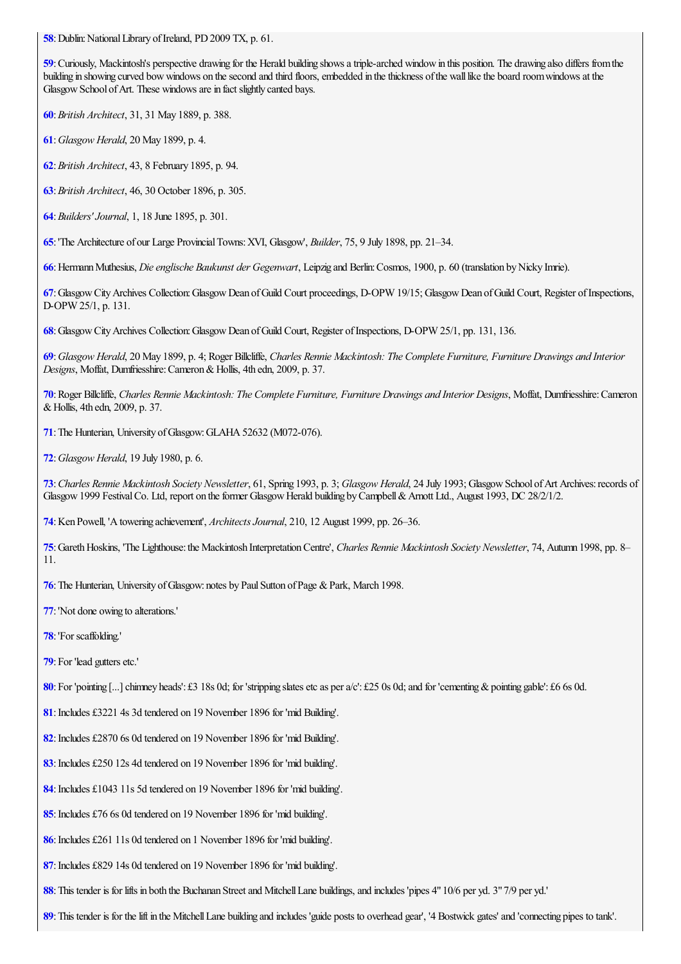<span id="page-24-0"></span>: Dublin: National Library of Ireland, PD 2009 TX, p. 61.

<span id="page-24-1"></span>: Curiously, Mackintosh's perspective drawing for the Herald building shows a triple-arched window in this position. The drawing also differs from the building in showing curved bow windows on the second and third floors, embedded in the thickness of the wall like the board room windows at the Glasgow School of Art. These windows are in fact slightly canted bays.

- <span id="page-24-2"></span>:*British Architect*, 31, 31 May 1889, p. 388.
- <span id="page-24-3"></span>:*Glasgow Herald*, 20 May 1899, p. 4.
- :*British Architect*, 43, 8 February 1895, p. 94.
- :*British Architect*, 46, 30 October 1896, p. 305.
- <span id="page-24-4"></span>:*Builders'Journal*, 1, 18 June 1895, p. 301.

:'The Architecture of our Large ProvincialTowns:XVI, Glasgow', *Builder*, 75, 9 July 1898, pp. 21–34.

<span id="page-24-5"></span>:HermannMuthesius, *Dieenglische Baukunst der Gegenwart*, Leipzig and Berlin:Cosmos, 1900, p. 60 (translation byNicky Imrie).

<span id="page-24-6"></span>:GlasgowCityArchives Collection:GlasgowDean ofGuild Court proceedings, D-OPW 19/15; GlasgowDean ofGuild Court, Register ofInspections, D-OPW 25/1, p. 131.

<span id="page-24-7"></span>:GlasgowCityArchives Collection:GlasgowDean ofGuild Court, Register ofInspections, D-OPW 25/1, pp. 131, 136.

<span id="page-24-8"></span>: Glasgow Herald, 20 May 1899, p. 4; Roger Billcliffe, Charles Rennie Mackintosh: The Complete Furniture, Furniture Drawings and Interior *Designs*, Moffat, Dumfriesshire:Cameron&Hollis, 4th edn, 2009, p. 37.

<span id="page-24-9"></span>: Roger Billcliffe, Charles Rennie Mackintosh: The Complete Furniture, Furniture Drawings and Interior Designs, Moffat, Dumfriesshire: Cameron &Hollis, 4th edn, 2009, p. 37.

<span id="page-24-10"></span>: The Hunterian, University of Glasgow: GLAHA 52632 (M072-076).

<span id="page-24-11"></span>:*Glasgow Herald*, 19 July 1980, p. 6.

<span id="page-24-12"></span>:*Charles Rennie Mackintosh Society Newsletter*, 61, Spring 1993, p. 3; *Glasgow Herald*, 24 July 1993; GlasgowSchool ofArt Archives:records of Glasgow 1999 Festival Co. Ltd, report on the former Glasgow Herald building by Campbell & Arnott Ltd., August 1993, DC 28/2/1/2.

<span id="page-24-13"></span>:Ken Powell, 'Atowering achievement', *ArchitectsJournal*, 210, 12 August 1999, pp. 26–36.

<span id="page-24-14"></span>:GarethHoskins, 'The Lighthouse:the Mackintosh InterpretationCentre', *Charles Rennie Mackintosh Society Newsletter*, 74, Autumn 1998, pp. 8– 11.

- <span id="page-24-15"></span>: The Hunterian, University of Glasgow: notes by Paul Sutton of Page & Park, March 1998.
- <span id="page-24-16"></span>:'Not done owing to alterations.'
- <span id="page-24-17"></span>: For scaffolding.'
- <span id="page-24-18"></span>: For 'lead gutters etc.'

<span id="page-24-19"></span>**[80](#page-10-0)**: For 'pointing [...] chimney heads': £3 18s 0d; for 'stripping slates etc as per  $a/c$ : £25 0s 0d; and for 'cementing & pointing gable': £6 6s 0d.

- <span id="page-24-20"></span>: Includes £3221 4s 3d tendered on 19 November 1896 for 'mid Building'.
- <span id="page-24-21"></span>:Includes £2870 6s 0d tendered on 19 November 1896 for 'mid Building'.
- <span id="page-24-22"></span>:Includes £250 12s 4d tendered on 19 November 1896 for 'mid building'.
- <span id="page-24-23"></span>:Includes £1043 11s 5d tendered on 19 November 1896 for 'mid building'.
- <span id="page-24-24"></span>:Includes £76 6s 0d tendered on 19 November 1896 for 'mid building'.
- <span id="page-24-25"></span>:Includes £261 11s 0d tendered on 1 November 1896 for 'mid building'.
- <span id="page-24-26"></span>:Includes £829 14s 0d tendered on 19 November 1896 for 'mid building'.
- <span id="page-24-27"></span>: This tender is for lifts in both the Buchanan Street and Mitchell Lane buildings, and includes 'pipes 4" 10/6 per yd. 3" 7/9 per yd.'
- <span id="page-24-28"></span>:This tender is for thelift in the MitchellLane building and includes 'guide posts to overhead gear', '4 Bostwick gates' and 'connecting pipes to tank'.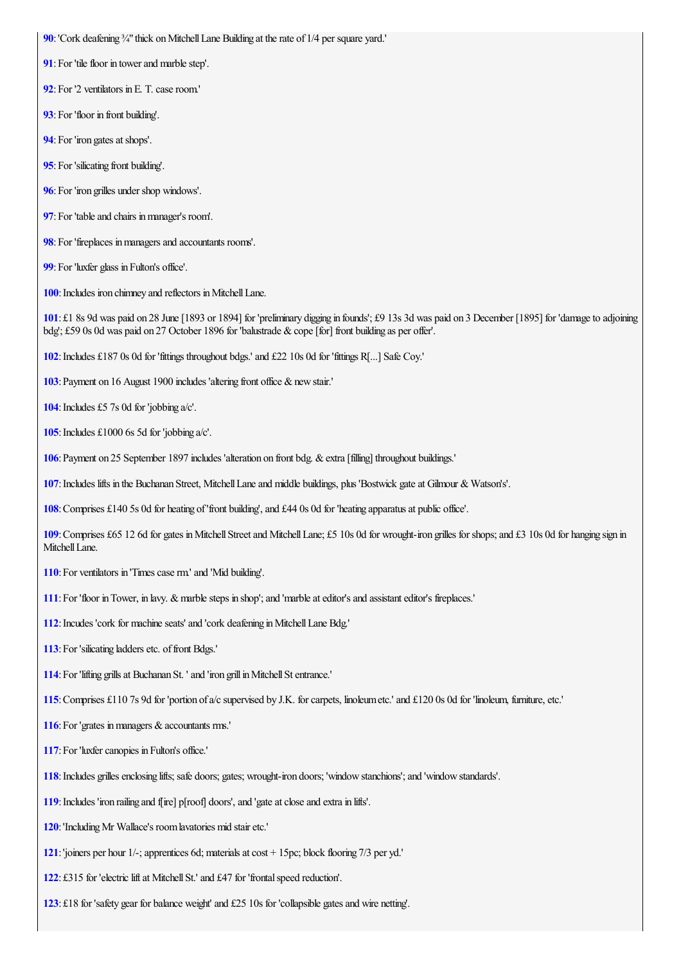<span id="page-25-0"></span>**[90](#page-13-0)**: 'Cork deafening <sup>3</sup>/4" thick on Mitchell Lane Building at the rate of 1/4 per square yard.'

- <span id="page-25-1"></span>: For 'tile floor in tower and marble step'.
- <span id="page-25-2"></span>: For '2 ventilators in E. T. case room.'
- <span id="page-25-3"></span>: For 'floor in front building'.
- <span id="page-25-4"></span>: For 'iron gates at shops'.
- <span id="page-25-5"></span>: For 'silicating front building'.
- <span id="page-25-6"></span>: For 'iron grilles under shop windows'.
- <span id="page-25-7"></span>: For 'table and chairs in manager's room'.
- <span id="page-25-8"></span>: For 'fireplaces in managers and accountants rooms'.
- <span id="page-25-9"></span>: For 'luxfer glass in Fulton's office'.

<span id="page-25-10"></span>: Includes iron chimney and reflectors in Mitchell Lane.

<span id="page-25-11"></span>: £1 8s 9d was paid on 28 June[1893 or 1894] for 'preliminary digging in founds'; £9 13s 3d was paid on 3 December [1895] for 'damageto adjoining bdg'; £59 0s 0d was paid on 27 October 1896 for 'balustrade & cope [for] front building as per offer'.

<span id="page-25-12"></span>:Includes £187 0s 0d for 'fittings throughout bdgs.' and £22 10s 0d for 'fittings R[...] Safe Coy.'

<span id="page-25-13"></span>: Payment on 16 August 1900 includes 'altering front office & new stair.'

<span id="page-25-14"></span>: Includes £5 7s 0d for 'jobbing a/c'.

<span id="page-25-15"></span>**[105](#page-13-15)**: Includes £1000 6s 5d for 'jobbing  $a/c'$ .

<span id="page-25-16"></span>: Payment on 25 September 1897 includes 'alteration on front bdg. & extra [filling] throughout buildings.'

<span id="page-25-17"></span>:Includes lifts in the Buchanan Street, MitchellLaneand middle buildings, plus 'Bostwick gateat Gilmour & Watson's'.

<span id="page-25-18"></span>: Comprises £140 5s 0d for heating of 'front building', and £44 0s 0d for 'heating apparatus at public office'.

<span id="page-25-19"></span>: Comprises £65 12 6d for gates in Mitchell Street and Mitchell Lane; £5 10s 0d for wrought-iron grilles for shops; and £3 10s 0d for hanging sign in Mitchell Lane.

- <span id="page-25-20"></span>: For ventilators in 'Times case rm' and 'Mid building'.
- <span id="page-25-21"></span>: For 'floor in Tower, in lavy. & marble steps in shop'; and 'marble at editor's and assistant editor's fireplaces.'
- <span id="page-25-22"></span>: Incudes 'cork for machine seats' and 'cork deafening in Mitchell Lane Bdg.'
- <span id="page-25-23"></span>: For 'silicating ladders etc. of front Bdgs.'
- <span id="page-25-24"></span>: For 'lifting grills at Buchanan St. ' and 'iron grill in Mitchell St entrance.'

<span id="page-25-25"></span>: Comprises £110 7s 9d for 'portion of a/c supervised by J.K. for carpets, linoleum etc.' and £120 0s 0d for 'linoleum, furniture, etc.'

<span id="page-25-26"></span>: For 'grates in managers & accountants rms.'

- <span id="page-25-27"></span>: For 'luxfer canopies in Fulton's office.'
- <span id="page-25-28"></span>: Includes grilles enclosing lifts; safe doors; gates; wrought-iron doors; 'window stanchions'; and 'window standards'.
- <span id="page-25-29"></span>: Includes 'iron railing and f[ire] p[roof] doors', and 'gate at close and extra in lifts'.
- <span id="page-25-30"></span>:'IncludingMr Wallace's roomlavatories mid stairetc.'
- <span id="page-25-31"></span>: 'joiners per hour 1/-; apprentices 6d; materials at cost + 15pc; block flooring 7/3 per yd.'
- <span id="page-25-32"></span>: £315 for 'electric lift at Mitchell St.' and £47 for 'frontal speed reduction'.
- <span id="page-25-33"></span>: £18 for 'safety gear for balance weight' and £25 10s for 'collapsible gates and wire netting'.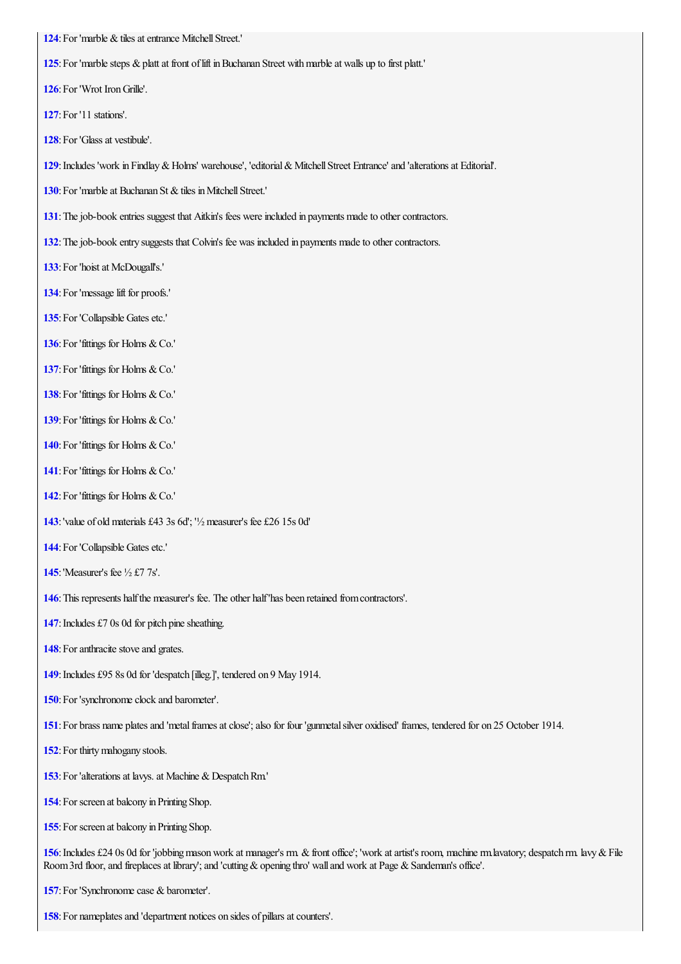<span id="page-26-0"></span>: For 'marble & tiles at entrance Mitchell Street.'

<span id="page-26-1"></span>: For 'marble steps & platt at front of lift in Buchanan Street with marble at walls up to first platt.'

<span id="page-26-2"></span>: For 'Wrot Iron Grille'.

<span id="page-26-3"></span>:For '11 stations'.

<span id="page-26-4"></span>: For 'Glass at vestibule'.

<span id="page-26-5"></span>:Includes 'work in Findlay&Holms' warehouse', 'editorial&MitchellStreet Entrance' and 'alterationsat Editorial'.

<span id="page-26-6"></span>: For 'marble at Buchanan St & tiles in Mitchell Street.'

<span id="page-26-7"></span>: The job-book entries suggest that Aitkin's fees were included in payments made to other contractors.

<span id="page-26-8"></span>: The job-book entry suggests that Colvin's fee was included in payments made to other contractors.

- <span id="page-26-9"></span>: For 'hoist at McDougall's.'
- <span id="page-26-10"></span>: For 'message lift for proofs.'
- <span id="page-26-11"></span>: For 'Collapsible Gates etc.'
- <span id="page-26-12"></span>: For 'fittings for Holms & Co.'
- <span id="page-26-13"></span>: For 'fittings for Holms & Co.'
- <span id="page-26-14"></span>: For 'fittings for Holms & Co.'
- <span id="page-26-15"></span>: For 'fittings for Holms & Co.'
- <span id="page-26-16"></span>: For 'fittings for Holms & Co.'
- <span id="page-26-17"></span>: For 'fittings for Holms & Co.'
- <span id="page-26-18"></span>: For 'fittings for Holms & Co.'
- <span id="page-26-19"></span>:'value of old materials £43 3s 6d'; '½measurer's fee £26 15s 0d'
- <span id="page-26-20"></span>: For 'Collapsible Gates etc.'
- <span id="page-26-21"></span>:'Measurer's fee ½ £7 7s'.
- <span id="page-26-22"></span>: This represents half the measurer's fee. The other half 'has been retained from contractors'.
- <span id="page-26-23"></span>: Includes £7 0s 0d for pitch pine sheathing.
- <span id="page-26-24"></span>: For anthracite stove and grates.
- <span id="page-26-25"></span>: Includes £95 8s 0d for 'despatch [illeg.]', tendered on 9 May 1914.
- <span id="page-26-26"></span>: For 'synchronome clock and barometer'.
- <span id="page-26-27"></span>: For brass name plates and 'metal frames at close'; also for four 'gunmetal silver oxidised' frames, tendered for on 25 October 1914.
- <span id="page-26-28"></span>: For thirty mahogany stools.
- <span id="page-26-29"></span>: For 'alterations at lavys. at Machine & Despatch Rm.'
- <span id="page-26-30"></span>: For screen at balcony in Printing Shop.
- <span id="page-26-31"></span>: For screen at balcony in Printing Shop.

<span id="page-26-32"></span>: Includes £24 0s 0d for 'jobbing mason work at manager's rm. & front office'; 'work at artist's room, machine rm.lavatory; despatch rm. lavy & File Room 3rd floor, and fireplaces at library'; and 'cutting & opening thro' wall and work at Page & Sandeman's office'.

<span id="page-26-33"></span>: For 'Synchronome case & barometer'.

<span id="page-26-34"></span>: For nameplates and 'department notices on sides of pillars at counters'.